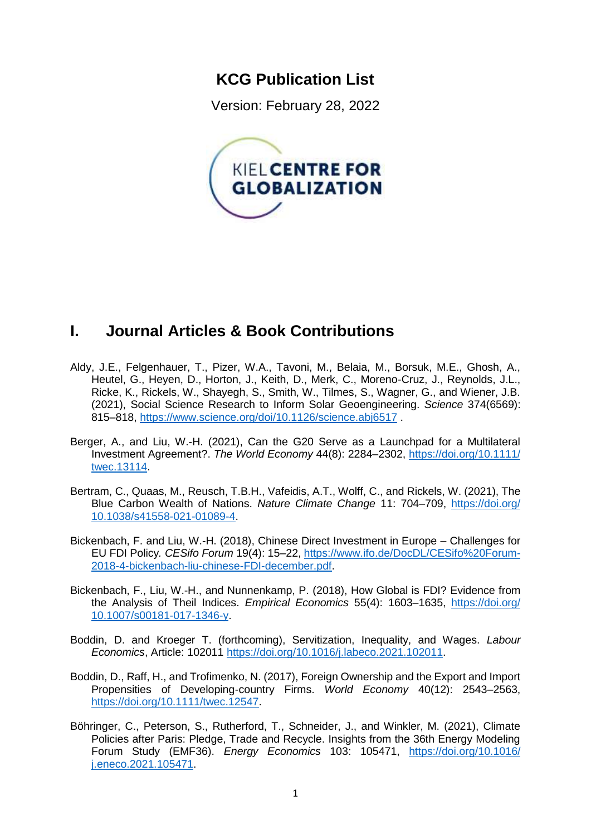## **KCG Publication List**

Version: February 28, 2022



# **I. Journal Articles & Book Contributions**

- Aldy, J.E., Felgenhauer, T., Pizer, W.A., Tavoni, M., Belaia, M., Borsuk, M.E., Ghosh, A., Heutel, G., Heyen, D., Horton, J., Keith, D., Merk, C., Moreno-Cruz, J., Reynolds, J.L., Ricke, K., Rickels, W., Shayegh, S., Smith, W., Tilmes, S., Wagner, G., and Wiener, J.B. (2021), Social Science Research to Inform Solar Geoengineering. *Science* 374(6569): 815–818,<https://www.science.org/doi/10.1126/science.abj6517> .
- Berger, A., and Liu, W.-H. (2021), Can the G20 Serve as a Launchpad for a Multilateral Investment Agreement?. *The World Economy* 44(8): 2284–2302, [https://doi.org/10.1111/](https://doi.org/10.1111/‌twec.13114) [twec.13114.](https://doi.org/10.1111/‌twec.13114)
- Bertram, C., Quaas, M., Reusch, T.B.H., Vafeidis, A.T., Wolff, C., and Rickels, W. (2021), The Blue Carbon Wealth of Nations. *Nature Climate Change* 11: 704–709, [https://doi.org/](https://doi.org/10.1038/s41558-021-01089-4) [10.1038/s41558-021-01089-4.](https://doi.org/10.1038/s41558-021-01089-4)
- Bickenbach, F. and Liu, W.-H. (2018), Chinese Direct Investment in Europe Challenges for EU FDI Policy*. CESifo Forum* 19(4): 15–22, [https://www.ifo.de/DocDL/CESifo%20Forum-](https://www.ifo.de/DocDL/CESifo%20Forum-2018-4-bickenbach-liu-chinese-FDI-december.pdf)[2018-4-bickenbach-liu-chinese-FDI-december.pdf.](https://www.ifo.de/DocDL/CESifo%20Forum-2018-4-bickenbach-liu-chinese-FDI-december.pdf)
- Bickenbach, F., Liu, W.-H., and Nunnenkamp, P. (2018), How Global is FDI? Evidence from the Analysis of Theil Indices. *Empirical Economics* 55(4): 1603–1635, [https://doi.org/](https://doi.org/‌10.1007/s00181-017-1346-y) [10.1007/s00181-017-1346-y.](https://doi.org/‌10.1007/s00181-017-1346-y)
- Boddin, D. and Kroeger T. (forthcoming), Servitization, Inequality, and Wages. *Labour Economics*, Article: 102011 [https://doi.org/10.1016/j.labeco.2021.102011.](https://doi.org/10.1016/j.labeco.2021.102011)
- Boddin, D., Raff, H., and Trofimenko, N. (2017), Foreign Ownership and the Export and Import Propensities of Developing-country Firms. *World Economy* 40(12): 2543–2563, [https://doi.org/10.1111/twec.12547.](https://doi.org/10.1111/twec.12547)
- Böhringer, C., Peterson, S., Rutherford, T., Schneider, J., and Winkler, M. (2021), Climate Policies after Paris: Pledge, Trade and Recycle. Insights from the 36th Energy Modeling Forum Study (EMF36). *Energy Economics* 103: 105471, [https://doi.org/10.1016/](https://doi.org/10.1016/j.eneco.2021.105471) [j.eneco.2021.105471.](https://doi.org/10.1016/j.eneco.2021.105471)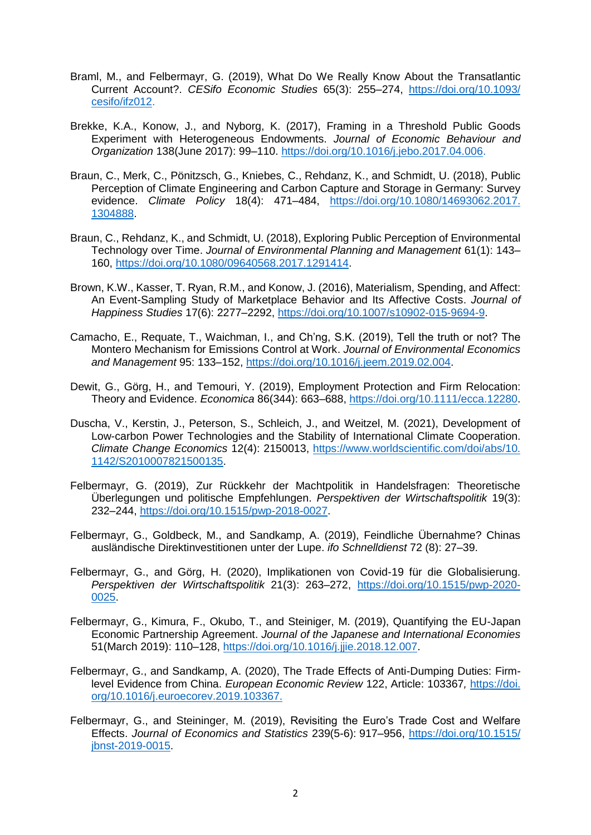- Braml, M., and Felbermayr, G. (2019), What Do We Really Know About the Transatlantic Current Account?. *CESifo Economic Studies* 65(3): 255–274, [https://doi.org/10.1093/](https://doi.org/10.1093/‌cesifo/ifz012) [cesifo/ifz012.](https://doi.org/10.1093/‌cesifo/ifz012)
- Brekke, K.A., Konow, J., and Nyborg, K. (2017), Framing in a Threshold Public Goods Experiment with Heterogeneous Endowments. *Journal of Economic Behaviour and Organization* 138(June 2017): 99–110. [https://doi.org/10.1016/j.jebo.2017.04.006.](https://doi.org/10.1016/j.jebo.2017.04.006)
- Braun, C., Merk, C., Pönitzsch, G., Kniebes, C., Rehdanz, K., and Schmidt, U. (2018), Public Perception of Climate Engineering and Carbon Capture and Storage in Germany: Survey evidence. *Climate Policy* 18(4): 471–484, [https://doi.org/10.1080/14693062.2017.](https://doi.org/10.1080/14693062.2017.‌1304888) [1304888.](https://doi.org/10.1080/14693062.2017.‌1304888)
- Braun, C., Rehdanz, K., and Schmidt, U. (2018), Exploring Public Perception of Environmental Technology over Time. *Journal of Environmental Planning and Management* 61(1): 143– 160, [https://doi.org/10.1080/09640568.2017.1291414.](https://doi.org/10.1080/09640568.2017.1291414)
- Brown, K.W., Kasser, T. Ryan, R.M., and Konow, J. (2016), Materialism, Spending, and Affect: An Event-Sampling Study of Marketplace Behavior and Its Affective Costs. *Journal of Happiness Studies* 17(6): 2277–2292, [https://doi.org/10.1007/s10902-015-9694-9.](https://doi.org/10.1007/s10902-015-9694-9)
- Camacho, E., Requate, T., Waichman, I., and Ch'ng, S.K. (2019), Tell the truth or not? The Montero Mechanism for Emissions Control at Work. *Journal of Environmental Economics and Management* 95: 133–152, [https://doi.org/10.1016/j.jeem.2019.02.004.](https://doi.org/10.1016/j.jeem.2019.02.004)
- Dewit, G., Görg, H., and Temouri, Y. (2019), Employment Protection and Firm Relocation: Theory and Evidence. *Economica* 86(344): 663–688, [https://doi.org/10.1111/ecca.12280.](https://doi.org/10.1111/ecca.12280)
- Duscha, V., Kerstin, J., Peterson, S., Schleich, J., and Weitzel, M. (2021), Development of Low-carbon Power Technologies and the Stability of International Climate Cooperation. *Climate Change Economics* 12(4): 2150013, [https://www.worldscientific.com/doi/abs/10.](https://www.worldscientific.com/doi/abs/10.‌1142/S2010007821500135) [1142/S2010007821500135.](https://www.worldscientific.com/doi/abs/10.‌1142/S2010007821500135)
- Felbermayr, G. (2019), Zur Rückkehr der Machtpolitik in Handelsfragen: Theoretische Überlegungen und politische Empfehlungen. *Perspektiven der Wirtschaftspolitik* 19(3): 232–244, [https://doi.org/10.1515/pwp-2018-0027.](https://doi.org/10.1515/pwp-2018-0027)
- Felbermayr, G., Goldbeck, M., and Sandkamp, A. (2019), Feindliche Übernahme? Chinas ausländische Direktinvestitionen unter der Lupe. *ifo Schnelldienst* 72 (8): 27–39.
- Felbermayr, G., and Görg, H. (2020), Implikationen von Covid-19 für die Globalisierung. *Perspektiven der Wirtschaftspolitik* 21(3): 263–272, [https://doi.org/10.1515/pwp-2020-](https://doi.org/10.1515/pwp-2020-0025) [0025.](https://doi.org/10.1515/pwp-2020-0025)
- Felbermayr, G., Kimura, F., Okubo, T., and Steiniger, M. (2019), Quantifying the EU-Japan Economic Partnership Agreement. *Journal of the Japanese and International Economies* 51(March 2019): 110–128, [https://doi.org/10.1016/j.jjie.2018.12.007.](https://doi.org/10.1016/j.jjie.2018.12.007)
- Felbermayr, G., and Sandkamp, A. (2020), The Trade Effects of Anti-Dumping Duties: Firmlevel Evidence from China. *European Economic Review* 122, Article: 103367*,* [https://doi.](https://doi.org/10.1016/j.euroecorev.2019.103367) [org/10.1016/j.euroecorev.2019.103367.](https://doi.org/10.1016/j.euroecorev.2019.103367)
- Felbermayr, G., and Steininger, M. (2019), Revisiting the Euro's Trade Cost and Welfare Effects. *Journal of Economics and Statistics* 239(5-6): 917–956, [https://doi.org/10.1515/](https://doi.org/10.1515/‌jbnst-2019-0015) [jbnst-2019-0015.](https://doi.org/10.1515/‌jbnst-2019-0015)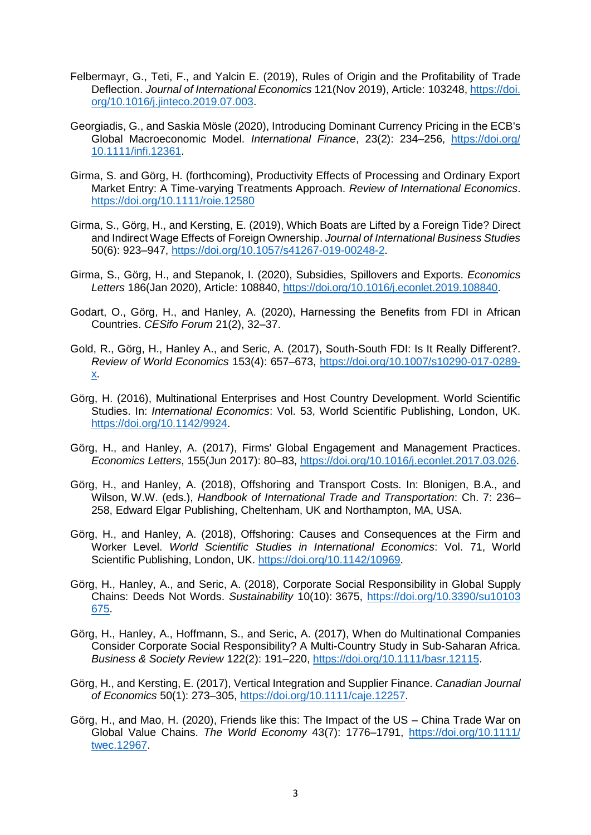- Felbermayr, G., Teti, F., and Yalcin E. (2019), Rules of Origin and the Profitability of Trade Deflection. *Journal of International Economics* 121(Nov 2019), Article: 103248[, https://doi.](https://doi.org/10.1016/j.jinteco.2019.07.003) [org/10.1016/j.jinteco.2019.07.003.](https://doi.org/10.1016/j.jinteco.2019.07.003)
- Georgiadis, G., and Saskia Mösle (2020), Introducing Dominant Currency Pricing in the ECB's Global Macroeconomic Model. *International Finance*, 23(2): 234–256, [https://doi.org/](https://doi.org/10.1111/infi.12361) [10.1111/infi.12361.](https://doi.org/10.1111/infi.12361)
- Girma, S. and Görg, H. (forthcoming), Productivity Effects of Processing and Ordinary Export Market Entry: A Time-varying Treatments Approach. *Review of International Economics*. <https://doi.org/10.1111/roie.12580>
- Girma, S., Görg, H., and Kersting, E. (2019), Which Boats are Lifted by a Foreign Tide? Direct and Indirect Wage Effects of Foreign Ownership. *Journal of International Business Studies* 50(6): 923–947, [https://doi.org/10.1057/s41267-019-00248-2.](https://doi.org/10.1057/s41267-019-00248-2)
- Girma, S., Görg, H., and Stepanok, I. (2020), Subsidies, Spillovers and Exports. *Economics Letters* 186(Jan 2020), Article: 108840, [https://doi.org/10.1016/j.econlet.2019.108840.](https://doi.org/10.1016/j.econlet.2019.108840)
- Godart, O., Görg, H., and Hanley, A. (2020), Harnessing the Benefits from FDI in African Countries. *CESifo Forum* 21(2), 32–37.
- Gold, R., Görg, H., Hanley A., and Seric, A. (2017), South-South FDI: Is It Really Different?. *Review of World Economics* 153(4): 657–673, [https://doi.org/10.1007/s10290-017-0289](https://doi.org/10.1007/s10290-017-0289-x) [x.](https://doi.org/10.1007/s10290-017-0289-x)
- Görg, H. (2016), Multinational Enterprises and Host Country Development. World Scientific Studies. In: *International Economics*: Vol. 53, World Scientific Publishing, London, UK. [https://doi.org/10.1142/9924.](https://doi.org/10.1142/9924)
- Görg, H., and Hanley, A. (2017), Firms' Global Engagement and Management Practices. *Economics Letters*, 155(Jun 2017): 80–83, [https://doi.org/10.1016/j.econlet.2017.03.026.](https://doi.org/10.1016/j.econlet.2017.03.026)
- Görg, H., and Hanley, A. (2018), Offshoring and Transport Costs. In: Blonigen, B.A., and Wilson, W.W. (eds.), *Handbook of International Trade and Transportation*: Ch. 7: 236– 258, Edward Elgar Publishing, Cheltenham, UK and Northampton, MA, USA.
- Görg, H., and Hanley, A. (2018), Offshoring: Causes and Consequences at the Firm and Worker Level. *World Scientific Studies in International Economics*: Vol. 71, World Scientific Publishing, London, UK. [https://doi.org/10.1142/10969.](https://doi.org/10.1142/10969)
- Görg, H., Hanley, A., and Seric, A. (2018), Corporate Social Responsibility in Global Supply Chains: Deeds Not Words. *Sustainability* 10(10): 3675, [https://doi.org/10.3390/su10103](https://doi.org/10.3390/su10103‌675) [675.](https://doi.org/10.3390/su10103‌675)
- Görg, H., Hanley, A., Hoffmann, S., and Seric, A. (2017), When do Multinational Companies Consider Corporate Social Responsibility? A Multi-Country Study in Sub-Saharan Africa. *Business & Society Review* 122(2): 191–220, [https://doi.org/10.1111/basr.12115.](https://doi.org/10.1111/basr.12115)
- Görg, H., and Kersting, E. (2017), Vertical Integration and Supplier Finance. *Canadian Journal of Economics* 50(1): 273–305, [https://doi.org/10.1111/caje.12257.](https://doi.org/10.1111/caje.12257)
- Görg, H., and Mao, H. (2020), Friends like this: The Impact of the US China Trade War on Global Value Chains. *The World Economy* 43(7): 1776–1791, [https://doi.org/10.1111/](https://doi.org/10.1111/‌twec.12967) [twec.12967.](https://doi.org/10.1111/‌twec.12967)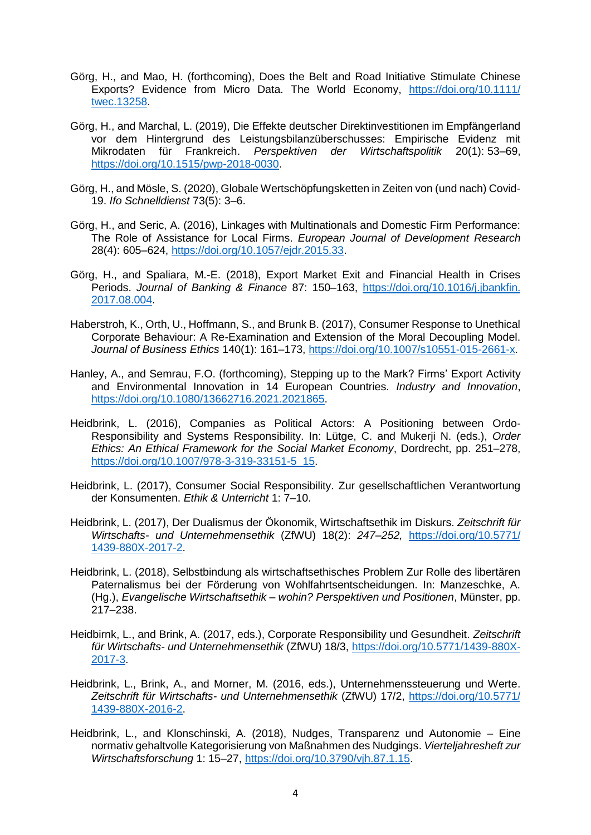- Görg, H., and Mao, H. (forthcoming), Does the Belt and Road Initiative Stimulate Chinese Exports? Evidence from Micro Data. The World Economy, [https://doi.org/10.1111/](https://doi.org/10.1111/‌twec.13258) [twec.13258.](https://doi.org/10.1111/‌twec.13258)
- Görg, H., and Marchal, L. (2019), Die Effekte deutscher Direktinvestitionen im Empfängerland vor dem Hintergrund des Leistungsbilanzüberschusses: Empirische Evidenz mit Mikrodaten für Frankreich. *Perspektiven der Wirtschaftspolitik* 20(1): 53–69, [https://doi.org/10.1515/pwp-2018-0030.](https://doi.org/10.1515/pwp-2018-0030)
- Görg, H., and Mösle, S. (2020), Globale Wertschöpfungsketten in Zeiten von (und nach) Covid-19. *Ifo Schnelldienst* 73(5): 3–6.
- Görg, H., and Seric, A. (2016), Linkages with Multinationals and Domestic Firm Performance: The Role of Assistance for Local Firms. *European Journal of Development Research* 28(4): 605–624, [https://doi.org/10.1057/ejdr.2015.33.](https://doi.org/10.1057/ejdr.2015.33)
- Görg, H., and Spaliara, M.-E. (2018), Export Market Exit and Financial Health in Crises Periods. *Journal of Banking & Finance* 87: 150–163, [https://doi.org/10.1016/j.jbankfin.](https://doi.org/10.1016/j.jbankfin.‌2017.08.004) [2017.08.004.](https://doi.org/10.1016/j.jbankfin.‌2017.08.004)
- Haberstroh, K., Orth, U., Hoffmann, S., and Brunk B. (2017), Consumer Response to Unethical Corporate Behaviour: A Re-Examination and Extension of the Moral Decoupling Model. *Journal of Business Ethics* 140(1): 161–173, [https://doi.org/10.1007/s10551-015-2661-x.](https://doi.org/10.1007/s10551-015-2661-x)
- Hanley, A., and Semrau, F.O. (forthcoming), Stepping up to the Mark? Firms' Export Activity and Environmental Innovation in 14 European Countries. *Industry and Innovation*, [https://doi.org/10.1080/13662716.2021.2021865.](https://doi.org/10.1080/13662716.2021.2021865)
- Heidbrink, L. (2016), Companies as Political Actors: A Positioning between Ordo-Responsibility and Systems Responsibility. In: Lütge, C. and Mukerji N. (eds.), *Order Ethics: An Ethical Framework for the Social Market Economy*, Dordrecht, pp. 251–278, [https://doi.org/10.1007/978-3-319-33151-5\\_15.](https://doi.org/10.1007/978-3-319-33151-5_15)
- Heidbrink, L. (2017), Consumer Social Responsibility. Zur gesellschaftlichen Verantwortung der Konsumenten. *Ethik & Unterricht* 1: 7–10.
- Heidbrink, L. (2017), Der Dualismus der Ökonomik, Wirtschaftsethik im Diskurs. *Zeitschrift für Wirtschafts- und Unternehmensethik* (ZfWU) 18(2): *247–252,* [https://doi.org/10.5771/](https://doi.org/10.5771/1439-880X-2017-2) [1439-880X-2017-2.](https://doi.org/10.5771/1439-880X-2017-2)
- Heidbrink, L. (2018), Selbstbindung als wirtschaftsethisches Problem Zur Rolle des libertären Paternalismus bei der Förderung von Wohlfahrtsentscheidungen. In: Manzeschke, A. (Hg.), *Evangelische Wirtschaftsethik – wohin? Perspektiven und Positionen*, Münster, pp. 217–238.
- Heidbirnk, L., and Brink, A. (2017, eds.), Corporate Responsibility und Gesundheit. *Zeitschrift für Wirtschafts- und Unternehmensethik* (ZfWU) 18/3, [https://doi.org/10.5771/1439-880X-](https://doi.org/10.5771/1439-880‌X-2017-3)[2017-3.](https://doi.org/10.5771/1439-880‌X-2017-3)
- Heidbrink, L., Brink, A., and Morner, M. (2016, eds.), Unternehmenssteuerung und Werte. *Zeitschrift für Wirtschafts- und Unternehmensethik* (ZfWU) 17/2, [https://doi.org/10.5771/](https://doi.org/10.5771/‌1439-880X-2016-2) [1439-880X-2016-2.](https://doi.org/10.5771/‌1439-880X-2016-2)
- Heidbrink, L., and Klonschinski, A. (2018), Nudges, Transparenz und Autonomie Eine normativ gehaltvolle Kategorisierung von Maßnahmen des Nudgings. *Vierteljahresheft zur Wirtschaftsforschung* 1: 15–27, [https://doi.org/10.3790/vjh.87.1.15.](https://doi.org/10.3790/vjh.87.1.15)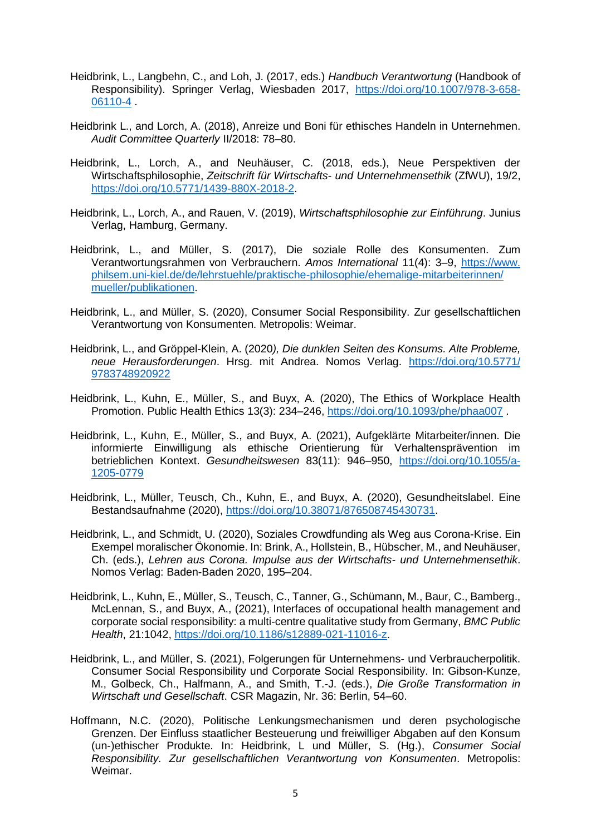- Heidbrink, L., Langbehn, C., and Loh, J. (2017, eds.) *Handbuch Verantwortung* (Handbook of Responsibility). Springer Verlag, Wiesbaden 2017, [https://doi.org/10.1007/978-3-658-](https://doi.org/10.1007/978-3-658-06110-4) [06110-4](https://doi.org/10.1007/978-3-658-06110-4) .
- Heidbrink L., and Lorch, A. (2018), Anreize und Boni für ethisches Handeln in Unternehmen. *Audit Committee Quarterly* II/2018: 78–80.
- Heidbrink, L., Lorch, A., and Neuhäuser, C. (2018, eds.), Neue Perspektiven der Wirtschaftsphilosophie, *Zeitschrift für Wirtschafts- und Unternehmensethik* (ZfWU), 19/2, [https://doi.org/10.5771/1439-880X-2018-2.](https://doi.org/10.5771/1439-880X-2018-2)
- Heidbrink, L., Lorch, A., and Rauen, V. (2019), *Wirtschaftsphilosophie zur Einführung*. Junius Verlag, Hamburg, Germany.
- Heidbrink, L., and Müller, S. (2017), Die soziale Rolle des Konsumenten. Zum Verantwortungsrahmen von Verbrauchern. *Amos International* 11(4): 3–9, [https://www.](https://www.philsem.uni-kiel.de/de/lehrstuehle/praktische-philosophie/ehemalige-mitarbeiterinnen/‌mueller/publikationen) [philsem.uni-kiel.de/de/lehrstuehle/praktische-philosophie/ehemalige-mitarbeiterinnen/](https://www.philsem.uni-kiel.de/de/lehrstuehle/praktische-philosophie/ehemalige-mitarbeiterinnen/‌mueller/publikationen) [mueller/publikationen.](https://www.philsem.uni-kiel.de/de/lehrstuehle/praktische-philosophie/ehemalige-mitarbeiterinnen/‌mueller/publikationen)
- Heidbrink, L., and Müller, S. (2020), Consumer Social Responsibility. Zur gesellschaftlichen Verantwortung von Konsumenten. Metropolis: Weimar.
- Heidbrink, L., and Gröppel-Klein, A. (2020*), Die dunklen Seiten des Konsums. Alte Probleme, neue Herausforderungen*. Hrsg. mit Andrea. Nomos Verlag. [https://doi.org/10.5771/](https://doi.org/10.5771/‌9783748920922) [9783748920922](https://doi.org/10.5771/‌9783748920922)
- Heidbrink, L., Kuhn, E., Müller, S., and Buyx, A. (2020), The Ethics of Workplace Health Promotion. Public Health Ethics 13(3): 234–246,<https://doi.org/10.1093/phe/phaa007> .
- Heidbrink, L., Kuhn, E., Müller, S., and Buyx, A. (2021), Aufgeklärte Mitarbeiter/innen. Die informierte Einwilligung als ethische Orientierung für Verhaltensprävention im betrieblichen Kontext. *Gesundheitswesen* 83(11): 946–950, [https://doi.org/10.1055/a-](https://doi.org/10.1055/a-1205-0779)[1205-0779](https://doi.org/10.1055/a-1205-0779)
- Heidbrink, L., Müller, Teusch, Ch., Kuhn, E., and Buyx, A. (2020), Gesundheitslabel. Eine Bestandsaufnahme (2020), [https://doi.org/10.38071/876508745430731.](https://doi.org/10.38071/876508745430731)
- Heidbrink, L., and Schmidt, U. (2020), Soziales Crowdfunding als Weg aus Corona-Krise. Ein Exempel moralischer Ökonomie. In: Brink, A., Hollstein, B., Hübscher, M., and Neuhäuser, Ch. (eds.), *Lehren aus Corona. Impulse aus der Wirtschafts- und Unternehmensethik*. Nomos Verlag: Baden-Baden 2020, 195–204.
- Heidbrink, L., Kuhn, E., Müller, S., Teusch, C., Tanner, G., Schümann, M., Baur, C., Bamberg., McLennan, S., and Buyx, A., (2021), Interfaces of occupational health management and corporate social responsibility: a multi-centre qualitative study from Germany, *BMC Public Health*, 21:1042, https://doi.org/10.1186/s12889-021-11016-z.
- Heidbrink, L., and Müller, S. (2021), Folgerungen für Unternehmens- und Verbraucherpolitik. Consumer Social Responsibility und Corporate Social Responsibility. In: Gibson-Kunze, M., Golbeck, Ch., Halfmann, A., and Smith, T.-J. (eds.), *Die Große Transformation in Wirtschaft und Gesellschaft*. CSR Magazin, Nr. 36: Berlin, 54–60.
- Hoffmann, N.C. (2020), Politische Lenkungsmechanismen und deren psychologische Grenzen. Der Einfluss staatlicher Besteuerung und freiwilliger Abgaben auf den Konsum (un-)ethischer Produkte. In: Heidbrink, L und Müller, S. (Hg.), *Consumer Social Responsibility. Zur gesellschaftlichen Verantwortung von Konsumenten*. Metropolis: Weimar.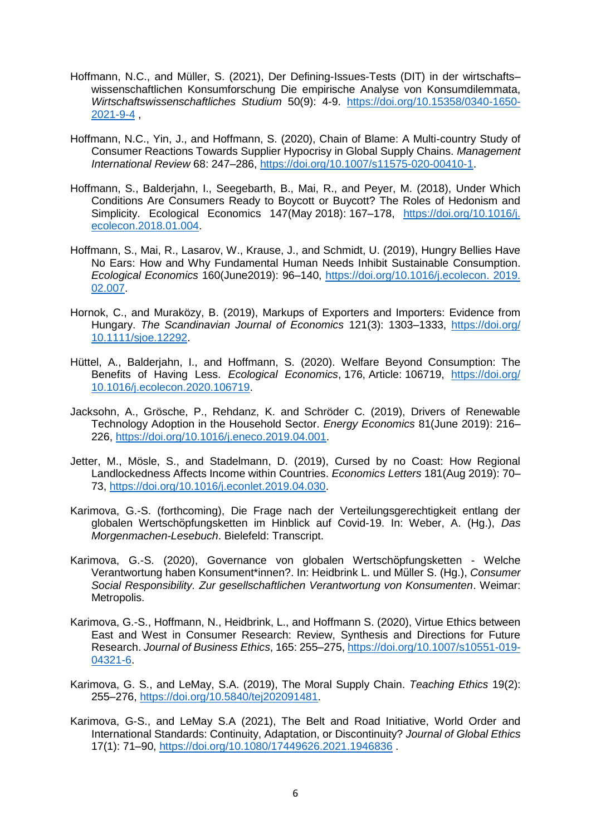- Hoffmann, N.C., and Müller, S. (2021), Der Defining-Issues-Tests (DIT) in der wirtschafts– wissenschaftlichen Konsumforschung Die empirische Analyse von Konsumdilemmata, *Wirtschaftswissenschaftliches Studium* 50(9): 4-9. [https://doi.org/10.15358/0340-1650-](https://doi.org/10.15358/0340-1650-2021-9-4) [2021-9-4](https://doi.org/10.15358/0340-1650-2021-9-4) ,
- Hoffmann, N.C., Yin, J., and Hoffmann, S. (2020), Chain of Blame: A Multi-country Study of Consumer Reactions Towards Supplier Hypocrisy in Global Supply Chains. *Management International Review* 68: 247–286, [https://doi.org/10.1007/s11575-020-00410-1.](https://doi.org/10.1007/s11575-020-00410-1)
- Hoffmann, S., Balderjahn, I., Seegebarth, B., Mai, R., and Peyer, M. (2018), Under Which Conditions Are Consumers Ready to Boycott or Buycott? The Roles of Hedonism and Simplicity. Ecological Economics 147(May 2018): 167–178, [https://doi.org/10.1016/j.](https://doi.org/10.1016/j.‌ecolecon.2018.01.004) [ecolecon.2018.01.004.](https://doi.org/10.1016/j.‌ecolecon.2018.01.004)
- Hoffmann, S., Mai, R., Lasarov, W., Krause, J., and Schmidt, U. (2019), Hungry Bellies Have No Ears: How and Why Fundamental Human Needs Inhibit Sustainable Consumption. *Ecological Economics* 160(June2019): 96–140, [https://doi.org/10.1016/j.ecolecon. 2019.](https://doi.org/10.1016/j.ecolecon.%202019.‌02.007) [02.007.](https://doi.org/10.1016/j.ecolecon.%202019.‌02.007)
- Hornok, C., and Muraközy, B. (2019), Markups of Exporters and Importers: Evidence from Hungary. *The Scandinavian Journal of Economics* 121(3): 1303–1333, [https://doi.org/](https://doi.org/10.1111/sjoe.12292) [10.1111/sjoe.12292.](https://doi.org/10.1111/sjoe.12292)
- Hüttel, A., Balderjahn, I., and Hoffmann, S. (2020). Welfare Beyond Consumption: The Benefits of Having Less. *Ecological Economics*, 176, Article: 106719, [https://doi.org/](https://doi.org/‌10.1016/j.ecolecon.2020.106719) [10.1016/j.ecolecon.2020.106719.](https://doi.org/‌10.1016/j.ecolecon.2020.106719)
- Jacksohn, A., Grösche, P., Rehdanz, K. and Schröder C. (2019), Drivers of Renewable Technology Adoption in the Household Sector. *Energy Economics* 81(June 2019): 216– 226, [https://doi.org/10.1016/j.eneco.2019.04.001.](https://doi.org/10.1016/j.eneco.2019.04.001)
- Jetter, M., Mösle, S., and Stadelmann, D. (2019), Cursed by no Coast: How Regional Landlockedness Affects Income within Countries. *Economics Letters* 181(Aug 2019): 70– 73, [https://doi.org/10.1016/j.econlet.2019.04.030.](https://doi.org/10.1016/j.econlet.2019.04.030)
- Karimova, G.-S. (forthcoming), Die Frage nach der Verteilungsgerechtigkeit entlang der globalen Wertschöpfungsketten im Hinblick auf Covid-19. In: Weber, A. (Hg.), *Das Morgenmachen-Lesebuch*. Bielefeld: Transcript.
- Karimova, G.-S. (2020), Governance von globalen Wertschöpfungsketten Welche Verantwortung haben Konsument\*innen?. In: Heidbrink L. und Müller S. (Hg.), *Consumer Social Responsibility. Zur gesellschaftlichen Verantwortung von Konsumenten*. Weimar: Metropolis.
- Karimova, G.-S., Hoffmann, N., Heidbrink, L., and Hoffmann S. (2020), Virtue Ethics between East and West in Consumer Research: Review, Synthesis and Directions for Future Research. *Journal of Business Ethics*, 165: 255–275, [https://doi.org/10.1007/s10551-019-](https://doi.org/10.1007/s10551-019-04321-6) [04321-6.](https://doi.org/10.1007/s10551-019-04321-6)
- Karimova, G. S., and LeMay, S.A. (2019), The Moral Supply Chain. *Teaching Ethics* 19(2): 255–276, [https://doi.org/10.5840/tej202091481.](https://doi.org/10.5840/tej202091481)
- Karimova, G-S., and LeMay S.A (2021), The Belt and Road Initiative, World Order and International Standards: Continuity, Adaptation, or Discontinuity? *Journal of Global Ethics* 17(1): 71–90,<https://doi.org/10.1080/17449626.2021.1946836> .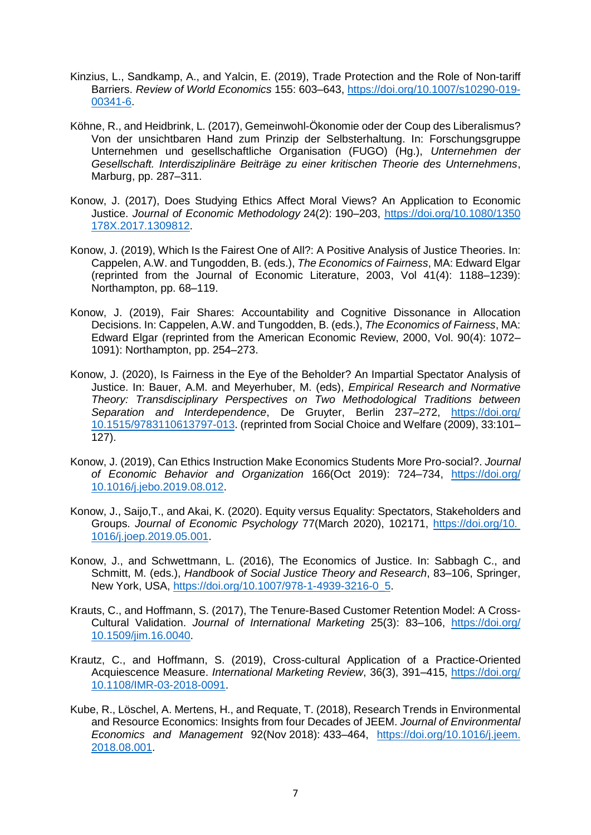- Kinzius, L., Sandkamp, A., and Yalcin, E. (2019), Trade Protection and the Role of Non-tariff Barriers. *Review of World Economics* 155: 603–643, [https://doi.org/10.1007/s10290-019-](https://doi.org/10.1007/s10290-019-‌00341-6) [00341-6.](https://doi.org/10.1007/s10290-019-‌00341-6)
- Köhne, R., and Heidbrink, L. (2017), Gemeinwohl-Ökonomie oder der Coup des Liberalismus? Von der unsichtbaren Hand zum Prinzip der Selbsterhaltung. In: Forschungsgruppe Unternehmen und gesellschaftliche Organisation (FUGO) (Hg.), *Unternehmen der Gesellschaft. Interdisziplinäre Beiträge zu einer kritischen Theorie des Unternehmens*, Marburg, pp. 287–311.
- Konow, J. (2017), Does Studying Ethics Affect Moral Views? An Application to Economic Justice. *Journal of Economic Methodology* 24(2): 190–203, [https://doi.org/10.1080/1350](https://doi.org/10.1080/1350‌178X.2017.1309812) [178X.2017.1309812.](https://doi.org/10.1080/1350‌178X.2017.1309812)
- Konow, J. (2019), Which Is the Fairest One of All?: A Positive Analysis of Justice Theories. In: Cappelen, A.W. and Tungodden, B. (eds.), *The Economics of Fairness*, MA: Edward Elgar (reprinted from the Journal of Economic Literature, 2003, Vol 41(4): 1188–1239): Northampton, pp. 68–119.
- Konow, J. (2019), Fair Shares: Accountability and Cognitive Dissonance in Allocation Decisions. In: Cappelen, A.W. and Tungodden, B. (eds.), *The Economics of Fairness*, MA: Edward Elgar (reprinted from the American Economic Review, 2000, Vol. 90(4): 1072– 1091): Northampton, pp. 254–273.
- Konow, J. (2020), Is Fairness in the Eye of the Beholder? An Impartial Spectator Analysis of Justice. In: Bauer, A.M. and Meyerhuber, M. (eds), *Empirical Research and Normative Theory: Transdisciplinary Perspectives on Two Methodological Traditions between Separation and Interdependence*, De Gruyter, Berlin 237–272, [https://doi.org/](https://doi.org/‌10.1515/9783110613797-013) [10.1515/9783110613797-013.](https://doi.org/‌10.1515/9783110613797-013) (reprinted from Social Choice and Welfare (2009), 33:101– 127).
- Konow, J. (2019), Can Ethics Instruction Make Economics Students More Pro-social?. *Journal of Economic Behavior and Organization* 166(Oct 2019): 724–734, [https://doi.org/](https://doi.org/10.1016/j.jebo.2019.08.012) [10.1016/j.jebo.2019.08.012.](https://doi.org/10.1016/j.jebo.2019.08.012)
- Konow, J., Saijo,T., and Akai, K. (2020). Equity versus Equality: Spectators, Stakeholders and Groups. *Journal of Economic Psychology* 77(March 2020), 102171, [https://doi.org/10.](https://doi.org/10.%20‌1016/j.joep.2019.05.001) [1016/j.joep.2019.05.001.](https://doi.org/10.%20‌1016/j.joep.2019.05.001)
- Konow, J., and Schwettmann, L. (2016), The Economics of Justice. In: Sabbagh C., and Schmitt, M. (eds.), *Handbook of Social Justice Theory and Research*, 83–106, Springer, New York, USA, [https://doi.org/10.1007/978-1-4939-3216-0\\_5.](https://doi.org/10.1007/978-1-4939-3216-0_5)
- Krauts, C., and Hoffmann, S. (2017), The Tenure-Based Customer Retention Model: A Cross-Cultural Validation. *Journal of International Marketing* 25(3): 83–106, [https://doi.org/](https://doi.org/10.1509/jim.16.0040) [10.1509/jim.16.0040.](https://doi.org/10.1509/jim.16.0040)
- Krautz, C., and Hoffmann, S. (2019), Cross-cultural Application of a Practice-Oriented Acquiescence Measure. *International Marketing Review*, 36(3), 391–415, [https://doi.org/](https://doi.org/10.1108/IMR-03-2018-0091) [10.1108/IMR-03-2018-0091.](https://doi.org/10.1108/IMR-03-2018-0091)
- Kube, R., Löschel, A. Mertens, H., and Requate, T. (2018), Research Trends in Environmental and Resource Economics: Insights from four Decades of JEEM. *Journal of Environmental Economics and Management* 92(Nov 2018): 433–464, [https://doi.org/10.1016/j.jeem.](https://doi.org/10.1016/j.jeem.‌2018.08.001) [2018.08.001.](https://doi.org/10.1016/j.jeem.‌2018.08.001)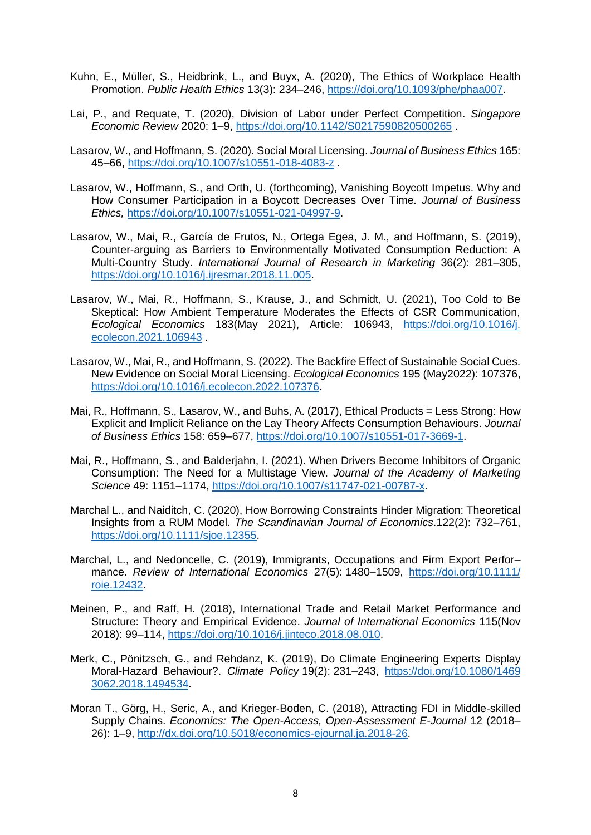- Kuhn, E., Müller, S., Heidbrink, L., and Buyx, A. (2020), The Ethics of Workplace Health Promotion. *Public Health Ethics* 13(3): 234–246, [https://doi.org/10.1093/phe/phaa007.](https://doi.org/10.1093/phe/phaa007)
- Lai, P., and Requate, T. (2020), Division of Labor under Perfect Competition. *Singapore Economic Review* 2020: 1–9, <https://doi.org/10.1142/S0217590820500265> .
- Lasarov, W., and Hoffmann, S. (2020). Social Moral Licensing. *Journal of Business Ethics* 165: 45–66,<https://doi.org/10.1007/s10551-018-4083-z> .
- Lasarov, W., Hoffmann, S., and Orth, U. (forthcoming), Vanishing Boycott Impetus. Why and How Consumer Participation in a Boycott Decreases Over Time. *Journal of Business Ethics,* [https://doi.org/10.1007/s10551-021-04997-9.](https://doi.org/10.1007/s10551-021-04997-9)
- Lasarov, W., Mai, R., García de Frutos, N., Ortega Egea, J. M., and Hoffmann, S. (2019), Counter-arguing as Barriers to Environmentally Motivated Consumption Reduction: A Multi-Country Study. *International Journal of Research in Marketing* 36(2): 281–305, [https://doi.org/10.1016/j.ijresmar.2018.11.005.](https://doi.org/10.1016/j.ijresmar.2018.11.005)
- Lasarov, W., Mai, R., Hoffmann, S., Krause, J., and Schmidt, U. (2021), Too Cold to Be Skeptical: How Ambient Temperature Moderates the Effects of CSR Communication, *Ecological Economics* 183(May 2021), Article: 106943, [https://doi.org/10.1016/j.](https://doi.org/10.1016/j.‌ecolecon.2021.106943) [ecolecon.2021.106943](https://doi.org/10.1016/j.‌ecolecon.2021.106943) .
- Lasarov, W., Mai, R., and Hoffmann, S. (2022). The Backfire Effect of Sustainable Social Cues. New Evidence on Social Moral Licensing. *Ecological Economics* 195 (May2022): 107376, [https://doi.org/10.1016/j.ecolecon.2022.107376.](https://doi.org/10.1016/j.ecolecon.2022.107376)
- Mai, R., Hoffmann, S., Lasarov, W., and Buhs, A. (2017), Ethical Products = Less Strong: How Explicit and Implicit Reliance on the Lay Theory Affects Consumption Behaviours. *Journal of Business Ethics* 158: 659–677, [https://doi.org/10.1007/s10551-017-3669-1.](https://doi.org/10.1007/s10551-017-3669-1)
- Mai, R., Hoffmann, S., and Balderjahn, I. (2021). When Drivers Become Inhibitors of Organic Consumption: The Need for a Multistage View. *Journal of the Academy of Marketing Science* 49: 1151–1174, [https://doi.org/10.1007/s11747-021-00787-x.](https://doi.org/10.1007/s11747-021-00787-x)
- Marchal L., and Naiditch, C. (2020), How Borrowing Constraints Hinder Migration: Theoretical Insights from a RUM Model. *The Scandinavian Journal of Economics*.122(2): 732–761, [https://doi.org/10.1111/sjoe.12355.](https://doi.org/10.1111/sjoe.12355)
- Marchal, L., and Nedoncelle, C. (2019), Immigrants, Occupations and Firm Export Perfor– mance. *Review of International Economics* 27(5): 1480–1509, [https://doi.org/10.1111/](https://doi.org/10.1111/‌roie.12432) [roie.12432.](https://doi.org/10.1111/‌roie.12432)
- Meinen, P., and Raff, H. (2018), International Trade and Retail Market Performance and Structure: Theory and Empirical Evidence. *Journal of International Economics* 115(Nov 2018): 99–114, [https://doi.org/10.1016/j.jinteco.2018.08.010.](https://doi.org/10.1016/j.jinteco.2018.08.010)
- Merk, C., Pönitzsch, G., and Rehdanz, K. (2019), Do Climate Engineering Experts Display Moral-Hazard Behaviour?. *Climate Policy* 19(2): 231–243, [https://doi.org/10.1080/1469](https://doi.org/10.1080/1469‌3062.2018.1494534) [3062.2018.1494534.](https://doi.org/10.1080/1469‌3062.2018.1494534)
- Moran T., Görg, H., Seric, A., and Krieger-Boden, C. (2018), Attracting FDI in Middle-skilled Supply Chains. *Economics: The Open-Access, Open-Assessment E-Journal* 12 (2018– 26): 1–9, [http://dx.doi.org/10.5018/economics-ejournal.ja.2018-26.](http://dx.doi.org/10.5018/economics-ejournal.ja.2018-26)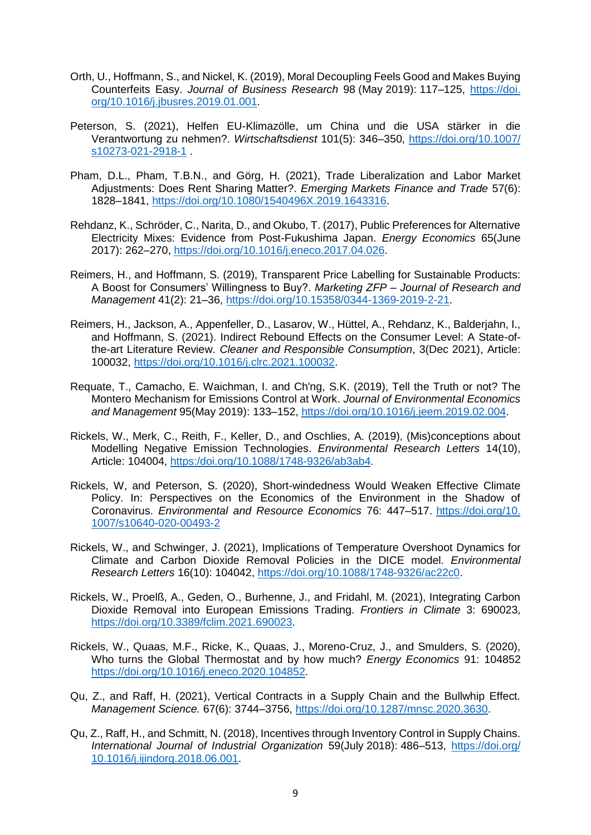- Orth, U., Hoffmann, S., and Nickel, K. (2019), Moral Decoupling Feels Good and Makes Buying Counterfeits Easy. *Journal of Business Research* 98 (May 2019): 117–125, [https://doi.](https://doi.org/10.1016/j.jbusres.2019.01.001) [org/10.1016/j.jbusres.2019.01.001.](https://doi.org/10.1016/j.jbusres.2019.01.001)
- Peterson, S. (2021), Helfen EU-Klimazölle, um China und die USA stärker in die Verantwortung zu nehmen?. *Wirtschaftsdienst* 101(5): 346–350, [https://doi.org/10.1007/](https://doi.org/10.1007/s10273-021-2918-1) [s10273-021-2918-1](https://doi.org/10.1007/s10273-021-2918-1) .
- Pham, D.L., Pham, T.B.N., and Görg, H. (2021), Trade Liberalization and Labor Market Adjustments: Does Rent Sharing Matter?. *Emerging Markets Finance and Trade* 57(6): 1828–1841, [https://doi.org/10.1080/1540496X.2019.1643316.](https://doi.org/10.1080/1540496X.2019.1643316)
- Rehdanz, K., Schröder, C., Narita, D., and Okubo, T. (2017), Public Preferences for Alternative Electricity Mixes: Evidence from Post-Fukushima Japan. *Energy Economics* 65(June 2017): 262–270, [https://doi.org/10.1016/j.eneco.2017.04.026.](https://doi.org/10.1016/j.eneco.2017.04.026)
- Reimers, H., and Hoffmann, S. (2019), Transparent Price Labelling for Sustainable Products: A Boost for Consumers' Willingness to Buy?. *Marketing ZFP – Journal of Research and Management* 41(2): 21–36, [https://doi.org/10.15358/0344-1369-2019-2-21.](https://doi.org/10.15358/0344-1369-2019-2-21)
- Reimers, H., Jackson, A., Appenfeller, D., Lasarov, W., Hüttel, A., Rehdanz, K., Balderjahn, I., and Hoffmann, S. (2021). Indirect Rebound Effects on the Consumer Level: A State-ofthe-art Literature Review. *Cleaner and Responsible Consumption*, 3(Dec 2021), Article: 100032, [https://doi.org/10.1016/j.clrc.2021.100032.](https://doi.org/10.1016/j.clrc.2021.100032)
- Requate, T., Camacho, E. Waichman, I. and Ch'ng, S.K. (2019), Tell the Truth or not? The Montero Mechanism for Emissions Control at Work. *Journal of Environmental Economics and Management* 95(May 2019): 133–152, [https://doi.org/10.1016/j.jeem.2019.02.004.](https://doi.org/10.1016/j.jeem.2019.02.004)
- Rickels, W., Merk, C., Reith, F., Keller, D., and Oschlies, A. (2019), (Mis)conceptions about Modelling Negative Emission Technologies. *Environmental Research Letters* 14(10), Article: 104004, https:/doi.org/10.1088/1748-9326/ab3ab4.
- Rickels, W, and Peterson, S. (2020), Short-windedness Would Weaken Effective Climate Policy. In: Perspectives on the Economics of the Environment in the Shadow of Coronavirus. *Environmental and Resource Economics* 76: 447–517. [https://doi.org/10.](https://doi.org/10.‌1007/s10640-020-00493-2) [1007/s10640-020-00493-2](https://doi.org/10.‌1007/s10640-020-00493-2)
- Rickels, W., and Schwinger, J. (2021), Implications of Temperature Overshoot Dynamics for Climate and Carbon Dioxide Removal Policies in the DICE model. *Environmental Research Letters* 16(10): 104042, [https://doi.org/10.1088/1748-9326/ac22c0.](https://doi.org/10.1088/1748-9326/ac22c0)
- Rickels, W., Proelß, A., Geden, O., Burhenne, J., and Fridahl, M. (2021), Integrating Carbon Dioxide Removal into European Emissions Trading. *Frontiers in Climate* 3: 690023, [https://doi.org/10.3389/fclim.2021.690023.](https://doi.org/10.3389/fclim.2021.690023)
- Rickels, W., Quaas, M.F., Ricke, K., Quaas, J., Moreno-Cruz, J., and Smulders, S. (2020), Who turns the Global Thermostat and by how much? *Energy Economics* 91: 104852 [https://doi.org/10.1016/j.eneco.2020.104852.](https://doi.org/10.1016/j.eneco.2020.104852)
- Qu, Z., and Raff, H. (2021), Vertical Contracts in a Supply Chain and the Bullwhip Effect. *Management Science.* 67(6): 3744–3756, [https://doi.org/10.1287/mnsc.2020.3630.](https://doi.org/10.1287/mnsc.2020.3630)
- Qu, Z., Raff, H., and Schmitt, N. (2018), Incentives through Inventory Control in Supply Chains. *International Journal of Industrial Organization* 59(July 2018): 486–513, [https://doi.org/](https://doi.org/‌10.1016/j.ijindorg.2018.06.001) [10.1016/j.ijindorg.2018.06.001.](https://doi.org/‌10.1016/j.ijindorg.2018.06.001)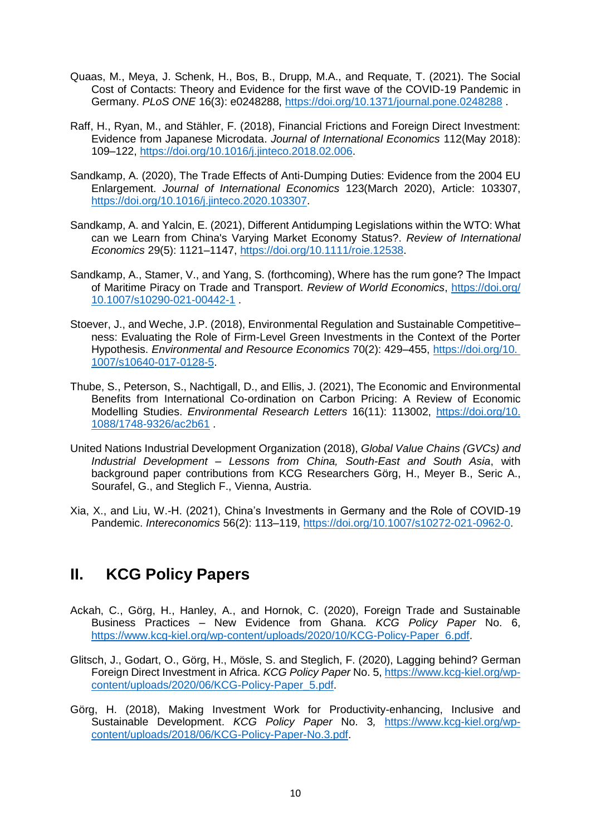- Quaas, M., Meya, J. Schenk, H., Bos, B., Drupp, M.A., and Requate, T. (2021). The Social Cost of Contacts: Theory and Evidence for the first wave of the COVID-19 Pandemic in Germany. *PLoS ONE* 16(3): e0248288,<https://doi.org/10.1371/journal.pone.0248288> .
- Raff, H., Ryan, M., and Stähler, F. (2018), Financial Frictions and Foreign Direct Investment: Evidence from Japanese Microdata. *Journal of International Economics* 112(May 2018): 109–122, [https://doi.org/10.1016/j.jinteco.2018.02.006.](https://doi.org/10.1016/j.jinteco.2018.02.006)
- Sandkamp, A. (2020), The Trade Effects of Anti-Dumping Duties: Evidence from the 2004 EU Enlargement. *Journal of International Economics* 123(March 2020), Article: 103307, [https://doi.org/10.1016/j.jinteco.2020.103307.](https://doi.org/10.1016/j.jinteco.2020.103307)
- Sandkamp, A. and Yalcin, E. (2021), Different Antidumping Legislations within the WTO: What can we Learn from China's Varying Market Economy Status?. *Review of International Economics* 29(5): 1121–1147, [https://doi.org/10.1111/roie.12538.](https://doi.org/10.1111/roie.12538)
- Sandkamp, A., Stamer, V., and Yang, S. (forthcoming), Where has the rum gone? The Impact of Maritime Piracy on Trade and Transport. *Review of World Economics*, [https://doi.org/](https://doi.org/10.1007/s10290-021-00442-1) [10.1007/s10290-021-00442-1](https://doi.org/10.1007/s10290-021-00442-1) .
- Stoever, J., and Weche, J.P. (2018), Environmental Regulation and Sustainable Competitive– ness: Evaluating the Role of Firm-Level Green Investments in the Context of the Porter Hypothesis. *Environmental and Resource Economics* 70(2): 429–455, [https://doi.org/10.](https://doi.org/10.%20‌1007/s10640-017-0128-5) [1007/s10640-017-0128-5.](https://doi.org/10.%20‌1007/s10640-017-0128-5)
- Thube, S., Peterson, S., Nachtigall, D., and Ellis, J. (2021), The Economic and Environmental Benefits from International Co-ordination on Carbon Pricing: A Review of Economic Modelling Studies. *Environmental Research Letters* 16(11): 113002, [https://doi.org/10.](https://doi.org/10.‌1088/1748-9326/ac2b61) [1088/1748-9326/ac2b61](https://doi.org/10.‌1088/1748-9326/ac2b61) .
- United Nations Industrial Development Organization (2018), *Global Value Chains (GVCs) and Industrial Development – Lessons from China, South-East and South Asia*, with background paper contributions from KCG Researchers Görg, H., Meyer B., Seric A., Sourafel, G., and Steglich F., Vienna, Austria.
- Xia, X., and Liu, W.-H. (2021), China's Investments in Germany and the Role of COVID-19 Pandemic. *Intereconomics* 56(2): 113–119, [https://doi.org/10.1007/s10272-021-0962-0.](https://doi.org/10.1007/s10272-021-0962-0)

## **II. KCG Policy Papers**

- Ackah, C., Görg, H., Hanley, A., and Hornok, C. (2020), Foreign Trade and Sustainable Business Practices – New Evidence from Ghana. *KCG Policy Paper* No. 6, [https://www.kcg-kiel.org/wp-content/uploads/2020/10/KCG-Policy-Paper\\_6.pdf.](https://www.kcg-kiel.org/wp-content/uploads/2020/10/KCG-Policy-Paper_6.pdf)
- Glitsch, J., Godart, O., Görg, H., Mösle, S. and Steglich, F. (2020), Lagging behind? German Foreign Direct Investment in Africa. *KCG Policy Paper* No. 5, [https://www.kcg-kiel.org/wp](https://www.kcg-kiel.org/wp-content/uploads/2020/06/KCG-Policy-Paper_5.pdf)[content/uploads/2020/06/KCG-Policy-Paper\\_5.pdf.](https://www.kcg-kiel.org/wp-content/uploads/2020/06/KCG-Policy-Paper_5.pdf)
- Görg, H. (2018), Making Investment Work for Productivity-enhancing, Inclusive and Sustainable Development. *KCG Policy Paper* No. 3*,* [https://www.kcg-kiel.org/wp](https://www.kcg-kiel.org/wp-content/uploads/2018/06/KCG-Policy-Paper-No.3.pdf)[content/uploads/2018/06/KCG-Policy-Paper-No.3.pdf.](https://www.kcg-kiel.org/wp-content/uploads/2018/06/KCG-Policy-Paper-No.3.pdf)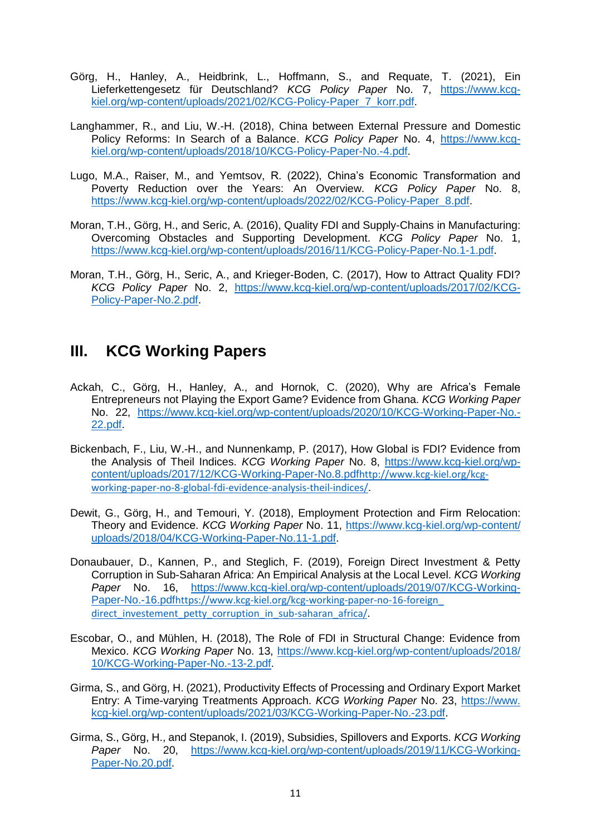- Görg, H., Hanley, A., Heidbrink, L., Hoffmann, S., and Requate, T. (2021), Ein Lieferkettengesetz für Deutschland? *KCG Policy Paper* No. 7, [https://www.kcg](https://www.kcg-kiel.org/wp-content/uploads/2021/02/KCG-Policy-Paper_7_korr.pdf)[kiel.org/wp-content/uploads/2021/02/KCG-Policy-Paper\\_7\\_korr.pdf.](https://www.kcg-kiel.org/wp-content/uploads/2021/02/KCG-Policy-Paper_7_korr.pdf)
- Langhammer, R., and Liu, W.-H. (2018), China between External Pressure and Domestic Policy Reforms: In Search of a Balance. *KCG Policy Paper* No. 4, [https://www.kcg](https://www.kcg-kiel.org/wp-content/uploads/2018/10/KCG-Policy-Paper-No.-4.pdf)[kiel.org/wp-content/uploads/2018/10/KCG-Policy-Paper-No.-4.pdf.](https://www.kcg-kiel.org/wp-content/uploads/2018/10/KCG-Policy-Paper-No.-4.pdf)
- Lugo, M.A., Raiser, M., and Yemtsov, R. (2022), China's Economic Transformation and Poverty Reduction over the Years: An Overview. *KCG Policy Paper* No. 8, [https://www.kcg-kiel.org/wp-content/uploads/2022/02/KCG-Policy-Paper\\_8.pdf.](https://www.kcg-kiel.org/wp-content/uploads/2022/02/KCG-Policy-Paper_8.pdf)
- Moran, T.H., Görg, H., and Seric, A. (2016), Quality FDI and Supply-Chains in Manufacturing: Overcoming Obstacles and Supporting Development. *KCG Policy Paper* No. 1, [https://www.kcg-kiel.org/wp-content/uploads/2016/11/KCG-Policy-Paper-No.1-1.pdf.](https://www.kcg-kiel.org/wp-content/uploads/2016/11/KCG-Policy-Paper-No.1-1.pdf)
- Moran, T.H., Görg, H., Seric, A., and Krieger-Boden, C. (2017), How to Attract Quality FDI? *KCG Policy Paper* No. 2, [https://www.kcg-kiel.org/wp-content/uploads/2017/02/KCG-](https://www.kcg-kiel.org/wp-content/uploads/2017/02/KCG-Policy-Paper-No.2.pdf)[Policy-Paper-No.2.pdf.](https://www.kcg-kiel.org/wp-content/uploads/2017/02/KCG-Policy-Paper-No.2.pdf)

### **III. KCG Working Papers**

- Ackah, C., Görg, H., Hanley, A., and Hornok, C. (2020), Why are Africa's Female Entrepreneurs not Playing the Export Game? Evidence from Ghana. *KCG Working Paper* No. 22, [https://www.kcg-kiel.org/wp-content/uploads/2020/10/KCG-Working-Paper-No.-](https://www.kcg-kiel.org/wp-content/uploads/2020/10/KCG-Working-Paper-No.-‌22.pdf) [22.pdf.](https://www.kcg-kiel.org/wp-content/uploads/2020/10/KCG-Working-Paper-No.-‌22.pdf)
- Bickenbach, F., Liu, W.-H., and Nunnenkamp, P. (2017), How Global is FDI? Evidence from the Analysis of Theil Indices. *KCG Working Paper* No. 8, [https://www.kcg-kiel.org/wp](https://www.kcg-kiel.org/wp-content/uploads/2017/12/KCG-Working-Paper-No.8.pdf)[content/uploads/2017/12/KCG-Working-Paper-No.8.pdf](https://www.kcg-kiel.org/wp-content/uploads/2017/12/KCG-Working-Paper-No.8.pdf)[http://www.kcg-kiel.org/kcg](http://www.kcg-kiel.org/kcg-working-paper-no-8-global-fdi-evidence-analysis-theil-indices/)[working-paper-no-8-global-fdi-evidence-analysis-theil-indices/](http://www.kcg-kiel.org/kcg-working-paper-no-8-global-fdi-evidence-analysis-theil-indices/).
- Dewit, G., Görg, H., and Temouri, Y. (2018), Employment Protection and Firm Relocation: Theory and Evidence. *KCG Working Paper* No. 11, [https://www.kcg-kiel.org/wp-content/](https://www.kcg-kiel.org/wp-content/uploads/2018/04/KCG-Working-Paper-No.11-1.pdf) [uploads/2018/04/KCG-Working-Paper-No.11-1.pdf.](https://www.kcg-kiel.org/wp-content/uploads/2018/04/KCG-Working-Paper-No.11-1.pdf)
- Donaubauer, D., Kannen, P., and Steglich, F. (2019), Foreign Direct Investment & Petty Corruption in Sub-Saharan Africa: An Empirical Analysis at the Local Level. *KCG Working Paper* No. 16, [https://www.kcg-kiel.org/wp-content/uploads/2019/07/KCG-Working-](https://www.kcg-kiel.org/wp-content/uploads/2019/07/KCG-Working-Paper-No.-16.pdf)[Paper-No.-16.pdf](https://www.kcg-kiel.org/wp-content/uploads/2019/07/KCG-Working-Paper-No.-16.pdf)[https://www.kcg-kiel.org/kcg-working-paper-no-16-foreign\\_](https://www.kcg-kiel.org/kcg-working-paper-no-16-foreign_‌direct_investement_petty_corruption_in_sub-saharan_africa/) direct investement petty corruption in sub-saharan africa/.
- Escobar, O., and Mühlen, H. (2018), The Role of FDI in Structural Change: Evidence from Mexico. *KCG Working Paper* No. 13, [https://www.kcg-kiel.org/wp-content/uploads/2018/](https://www.kcg-kiel.org/wp-content/uploads/2018/‌10/KCG-Working-Paper-No.-13-2.pdf) [10/KCG-Working-Paper-No.-13-2.pdf.](https://www.kcg-kiel.org/wp-content/uploads/2018/‌10/KCG-Working-Paper-No.-13-2.pdf)
- Girma, S., and Görg, H. (2021), Productivity Effects of Processing and Ordinary Export Market Entry: A Time-varying Treatments Approach. *KCG Working Paper* No. 23, [https://www.](https://www.kcg-kiel.org/wp-content/uploads/2021/03/KCG-Working-Paper-No.-23.pdf) [kcg-kiel.org/wp-content/uploads/2021/03/KCG-Working-Paper-No.-23.pdf.](https://www.kcg-kiel.org/wp-content/uploads/2021/03/KCG-Working-Paper-No.-23.pdf)
- Girma, S., Görg, H., and Stepanok, I. (2019), Subsidies, Spillovers and Exports. *KCG Working Paper* No. 20, [https://www.kcg-kiel.org/wp-content/uploads/2019/11/KCG-Working-](https://www.kcg-kiel.org/wp-content/uploads/2019/11/KCG-Working-Paper-No.20.pdf)[Paper-No.20.pdf.](https://www.kcg-kiel.org/wp-content/uploads/2019/11/KCG-Working-Paper-No.20.pdf)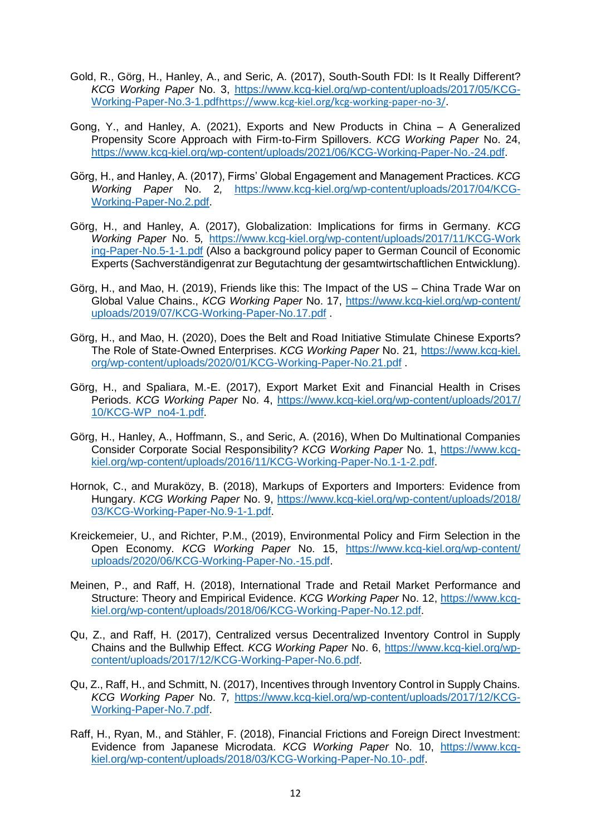- Gold, R., Görg, H., Hanley, A., and Seric, A. (2017), South-South FDI: Is It Really Different? *KCG Working Paper* No. 3, [https://www.kcg-kiel.org/wp-content/uploads/2017/05/KCG-](https://www.kcg-kiel.org/wp-content/uploads/2017/05/KCG-Working-Paper-No.3-1.pdf)[Working-Paper-No.3-1.pdf](https://www.kcg-kiel.org/wp-content/uploads/2017/05/KCG-Working-Paper-No.3-1.pdf)<https://www.kcg-kiel.org/kcg-working-paper-no-3/>.
- Gong, Y., and Hanley, A. (2021), Exports and New Products in China A Generalized Propensity Score Approach with Firm-to-Firm Spillovers. *KCG Working Paper* No. 24, [https://www.kcg-kiel.org/wp-content/uploads/2021/06/KCG-Working-Paper-No.-24.pdf.](https://www.kcg-kiel.org/wp-content/uploads/2021/06/KCG-Working-Paper-No.-24.pdf)
- Görg, H., and Hanley, A. (2017), Firms' Global Engagement and Management Practices. *KCG Working Paper* No. 2*,* [https://www.kcg-kiel.org/wp-content/uploads/2017/04/KCG-](https://www.kcg-kiel.org/wp-content/uploads/2017/04/KCG-Working-Paper-No.2.pdf)[Working-Paper-No.2.pdf.](https://www.kcg-kiel.org/wp-content/uploads/2017/04/KCG-Working-Paper-No.2.pdf)
- Görg, H., and Hanley, A. (2017), Globalization: Implications for firms in Germany. *KCG Working Paper* No. 5*,* [https://www.kcg-kiel.org/wp-content/uploads/2017/11/KCG-Work](https://www.kcg-kiel.org/wp-content/uploads/2017/11/KCG-Work‌ing-Paper-No.5-1-1.pdf) [ing-Paper-No.5-1-1.pdf](https://www.kcg-kiel.org/wp-content/uploads/2017/11/KCG-Work‌ing-Paper-No.5-1-1.pdf) (Also a background policy paper to German Council of Economic Experts (Sachverständigenrat zur Begutachtung der gesamtwirtschaftlichen Entwicklung).
- Görg, H., and Mao, H. (2019), Friends like this: The Impact of the US China Trade War on Global Value Chains., *KCG Working Paper* No. 17, [https://www.kcg-kiel.org/wp-content/](https://www.kcg-kiel.org/wp-content/‌uploads/2019/07/KCG-Working-Paper-No.17.pdf) [uploads/2019/07/KCG-Working-Paper-No.17.pdf](https://www.kcg-kiel.org/wp-content/‌uploads/2019/07/KCG-Working-Paper-No.17.pdf) .
- Görg, H., and Mao, H. (2020), Does the Belt and Road Initiative Stimulate Chinese Exports? The Role of State-Owned Enterprises. *KCG Working Paper* No. 21*,* [https://www.kcg-kiel.](https://www.kcg-kiel.org/wp-content/uploads/2020/01/KCG-Working-Paper-No.21.pdf) [org/wp-content/uploads/2020/01/KCG-Working-Paper-No.21.pdf](https://www.kcg-kiel.org/wp-content/uploads/2020/01/KCG-Working-Paper-No.21.pdf) .
- Görg, H., and Spaliara, M.-E. (2017), Export Market Exit and Financial Health in Crises Periods. *KCG Working Paper* No. 4, [https://www.kcg-kiel.org/wp-content/uploads/2017/](https://www.kcg-kiel.org/wp-content/uploads/2017/‌10/KCG-WP_no4-1.pdf) [10/KCG-WP\\_no4-1.pdf.](https://www.kcg-kiel.org/wp-content/uploads/2017/‌10/KCG-WP_no4-1.pdf)
- Görg, H., Hanley, A., Hoffmann, S., and Seric, A. (2016), When Do Multinational Companies Consider Corporate Social Responsibility? *KCG Working Paper* No. 1, [https://www.kcg](https://www.kcg-kiel.org/wp-content/uploads/2016/11/KCG-Working-Paper-No.1-1-2.pdf)[kiel.org/wp-content/uploads/2016/11/KCG-Working-Paper-No.1-1-2.pdf.](https://www.kcg-kiel.org/wp-content/uploads/2016/11/KCG-Working-Paper-No.1-1-2.pdf)
- Hornok, C., and Muraközy, B. (2018), Markups of Exporters and Importers: Evidence from Hungary. *KCG Working Paper* No. 9, [https://www.kcg-kiel.org/wp-content/uploads/2018/](https://www.kcg-kiel.org/wp-content/uploads/2018/‌03/KCG-Working-Paper-No.9-1-1.pdf) [03/KCG-Working-Paper-No.9-1-1.pdf.](https://www.kcg-kiel.org/wp-content/uploads/2018/‌03/KCG-Working-Paper-No.9-1-1.pdf)
- Kreickemeier, U., and Richter, P.M., (2019), Environmental Policy and Firm Selection in the Open Economy. *KCG Working Paper* No. 15, [https://www.kcg-kiel.org/wp-content/](https://www.kcg-kiel.org/wp-content/‌uploads/2020/06/KCG-Working-Paper-No.-15.pdf) [uploads/2020/06/KCG-Working-Paper-No.-15.pdf.](https://www.kcg-kiel.org/wp-content/‌uploads/2020/06/KCG-Working-Paper-No.-15.pdf)
- Meinen, P., and Raff, H. (2018), International Trade and Retail Market Performance and Structure: Theory and Empirical Evidence. *KCG Working Paper* No. 12, [https://www.kcg](https://www.kcg-kiel.org/wp-content/uploads/2018/06/KCG-Working-Paper-No.12.pdf)[kiel.org/wp-content/uploads/2018/06/KCG-Working-Paper-No.12.pdf.](https://www.kcg-kiel.org/wp-content/uploads/2018/06/KCG-Working-Paper-No.12.pdf)
- Qu, Z., and Raff, H. (2017), Centralized versus Decentralized Inventory Control in Supply Chains and the Bullwhip Effect. *KCG Working Paper* No. 6, [https://www.kcg-kiel.org/wp](https://www.kcg-kiel.org/wp-content/uploads/2017/12/KCG-Working-Paper-No.6.pdf)[content/uploads/2017/12/KCG-Working-Paper-No.6.pdf.](https://www.kcg-kiel.org/wp-content/uploads/2017/12/KCG-Working-Paper-No.6.pdf)
- Qu, Z., Raff, H., and Schmitt, N. (2017), Incentives through Inventory Control in Supply Chains. *KCG Working Paper* No. 7*,* [https://www.kcg-kiel.org/wp-content/uploads/2017/12/KCG-](https://www.kcg-kiel.org/wp-content/uploads/2017/12/KCG-‌Working-Paper-No.7.pdf)[Working-Paper-No.7.pdf.](https://www.kcg-kiel.org/wp-content/uploads/2017/12/KCG-‌Working-Paper-No.7.pdf)
- Raff, H., Ryan, M., and Stähler, F. (2018), Financial Frictions and Foreign Direct Investment: Evidence from Japanese Microdata. *KCG Working Paper* No. 10, [https://www.kcg](https://www.kcg-kiel.org/wp-content/uploads/2018/03/KCG-Working-Paper-No.10-.pdf)[kiel.org/wp-content/uploads/2018/03/KCG-Working-Paper-No.10-.pdf.](https://www.kcg-kiel.org/wp-content/uploads/2018/03/KCG-Working-Paper-No.10-.pdf)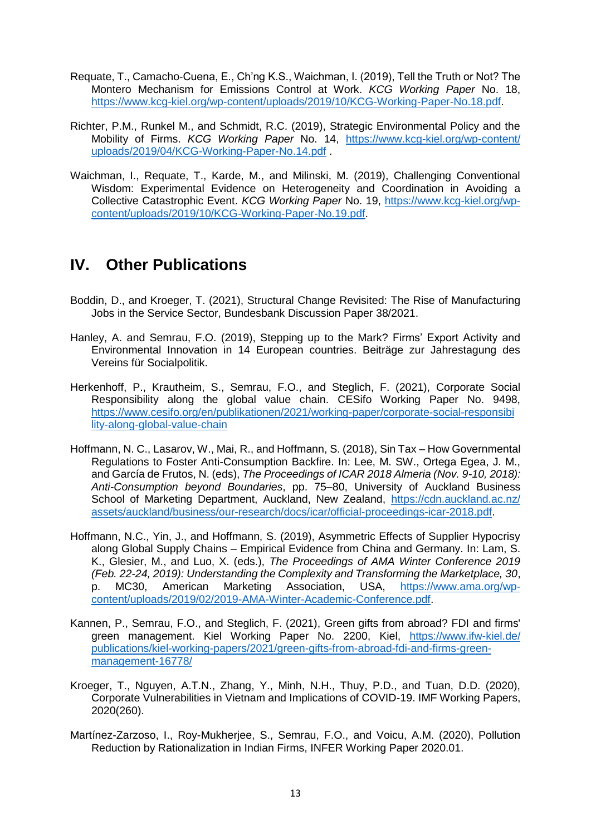- Requate, T., Camacho-Cuena, E., Ch'ng K.S., Waichman, I. (2019), Tell the Truth or Not? The Montero Mechanism for Emissions Control at Work. *KCG Working Paper* No. 18, [https://www.kcg-kiel.org/wp-content/uploads/2019/10/KCG-Working-Paper-No.18.pdf.](https://www.kcg-kiel.org/wp-content/uploads/2019/10/KCG-Working-Paper-No.18.pdf)
- Richter, P.M., Runkel M., and Schmidt, R.C. (2019), Strategic Environmental Policy and the Mobility of Firms. *KCG Working Paper* No. 14, [https://www.kcg-kiel.org/wp-content/](https://www.kcg-kiel.org/wp-content/‌uploads/2019/04/KCG-Working-Paper-No.14.pdf) [uploads/2019/04/KCG-Working-Paper-No.14.pdf](https://www.kcg-kiel.org/wp-content/‌uploads/2019/04/KCG-Working-Paper-No.14.pdf) .
- Waichman, I., Requate, T., Karde, M., and Milinski, M. (2019), Challenging Conventional Wisdom: Experimental Evidence on Heterogeneity and Coordination in Avoiding a Collective Catastrophic Event. *KCG Working Paper* No. 19, [https://www.kcg-kiel.org/wp](https://www.kcg-kiel.org/wp-content/uploads/2019/10/KCG-Working-Paper-No.19.pdf)[content/uploads/2019/10/KCG-Working-Paper-No.19.pdf.](https://www.kcg-kiel.org/wp-content/uploads/2019/10/KCG-Working-Paper-No.19.pdf)

## **IV. Other Publications**

- Boddin, D., and Kroeger, T. (2021), Structural Change Revisited: The Rise of Manufacturing Jobs in the Service Sector, Bundesbank Discussion Paper 38/2021.
- Hanley, A. and Semrau, F.O. (2019), Stepping up to the Mark? Firms' Export Activity and Environmental Innovation in 14 European countries. Beiträge zur Jahrestagung des Vereins für Socialpolitik.
- Herkenhoff, P., Krautheim, S., Semrau, F.O., and Steglich, F. (2021), Corporate Social Responsibility along the global value chain. CESifo Working Paper No. 9498, [https://www.cesifo.org/en/publikationen/2021/working-paper/corporate-social-responsibi](https://www.cesifo.org/en/publikationen/2021/working-paper/corporate-social-responsibi‌lity-along-global-value-chain) [lity-along-global-value-chain](https://www.cesifo.org/en/publikationen/2021/working-paper/corporate-social-responsibi‌lity-along-global-value-chain)
- Hoffmann, N. C., Lasarov, W., Mai, R., and Hoffmann, S. (2018), Sin Tax How Governmental Regulations to Foster Anti-Consumption Backfire. In: Lee, M. SW., Ortega Egea, J. M., and García de Frutos, N. (eds), *The Proceedings of ICAR 2018 Almeria (Nov. 9-10, 2018): Anti-Consumption beyond Boundaries*, pp. 75–80, University of Auckland Business School of Marketing Department, Auckland, New Zealand, [https://cdn.auckland.ac.nz/](https://cdn.auckland.ac.nz/‌assets/auckland/business/our-research/docs/icar/official-proceedings-icar-2018.pdf) [assets/auckland/business/our-research/docs/icar/official-proceedings-icar-2018.pdf.](https://cdn.auckland.ac.nz/‌assets/auckland/business/our-research/docs/icar/official-proceedings-icar-2018.pdf)
- Hoffmann, N.C., Yin, J., and Hoffmann, S. (2019), Asymmetric Effects of Supplier Hypocrisy along Global Supply Chains – Empirical Evidence from China and Germany. In: Lam, S. K., Glesier, M., and Luo, X. (eds.), *The Proceedings of AMA Winter Conference 2019 (Feb. 22-24, 2019): Understanding the Complexity and Transforming the Marketplace, 30*, p. MC30, American Marketing Association, USA, [https://www.ama.org/wp](https://www.ama.org/wp-content/uploads/2019/02/2019-AMA-Winter-Academic-Conference.pdf)[content/uploads/2019/02/2019-AMA-Winter-Academic-Conference.pdf.](https://www.ama.org/wp-content/uploads/2019/02/2019-AMA-Winter-Academic-Conference.pdf)
- Kannen, P., Semrau, F.O., and Steglich, F. (2021), Green gifts from abroad? FDI and firms' green management. Kiel Working Paper No. 2200, Kiel, [https://www.ifw-kiel.de/](https://www.ifw-kiel.de/‌publications/kiel-working-papers/2021/green-gifts-from-abroad-fdi-and-firms-green-‌management-16778/) [publications/kiel-working-papers/2021/green-gifts-from-abroad-fdi-and-firms-green](https://www.ifw-kiel.de/‌publications/kiel-working-papers/2021/green-gifts-from-abroad-fdi-and-firms-green-‌management-16778/)[management-16778/](https://www.ifw-kiel.de/‌publications/kiel-working-papers/2021/green-gifts-from-abroad-fdi-and-firms-green-‌management-16778/)
- Kroeger, T., Nguyen, A.T.N., Zhang, Y., Minh, N.H., Thuy, P.D., and Tuan, D.D. (2020), Corporate Vulnerabilities in Vietnam and Implications of COVID-19. IMF Working Papers, 2020(260).
- Martínez-Zarzoso, I., Roy-Mukherjee, S., Semrau, F.O., and Voicu, A.M. (2020), Pollution Reduction by Rationalization in Indian Firms, INFER Working Paper 2020.01.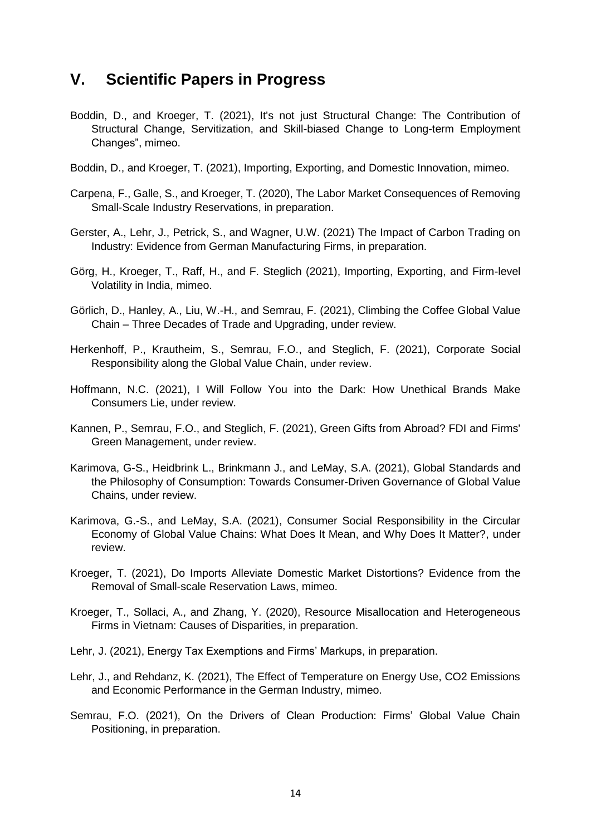### **V. Scientific Papers in Progress**

- Boddin, D., and Kroeger, T. (2021), It's not just Structural Change: The Contribution of Structural Change, Servitization, and Skill-biased Change to Long-term Employment Changes", mimeo.
- Boddin, D., and Kroeger, T. (2021), Importing, Exporting, and Domestic Innovation, mimeo.
- Carpena, F., Galle, S., and Kroeger, T. (2020), The Labor Market Consequences of Removing Small-Scale Industry Reservations, in preparation.
- Gerster, A., Lehr, J., Petrick, S., and Wagner, U.W. (2021) The Impact of Carbon Trading on Industry: Evidence from German Manufacturing Firms, in preparation.
- Görg, H., Kroeger, T., Raff, H., and F. Steglich (2021), Importing, Exporting, and Firm-level Volatility in India, mimeo.
- Görlich, D., Hanley, A., Liu, W.-H., and Semrau, F. (2021), Climbing the Coffee Global Value Chain – Three Decades of Trade and Upgrading, under review.
- Herkenhoff, P., Krautheim, S., Semrau, F.O., and Steglich, F. (2021), Corporate Social Responsibility along the Global Value Chain, under review.
- Hoffmann, N.C. (2021), I Will Follow You into the Dark: How Unethical Brands Make Consumers Lie, under review.
- Kannen, P., Semrau, F.O., and Steglich, F. (2021), Green Gifts from Abroad? FDI and Firms' Green Management, under review.
- Karimova, G-S., Heidbrink L., Brinkmann J., and LeMay, S.A. (2021), Global Standards and the Philosophy of Consumption: Towards Consumer-Driven Governance of Global Value Chains, under review.
- Karimova, G.-S., and LeMay, S.A. (2021), Consumer Social Responsibility in the Circular Economy of Global Value Chains: What Does It Mean, and Why Does It Matter?, under review.
- Kroeger, T. (2021), Do Imports Alleviate Domestic Market Distortions? Evidence from the Removal of Small-scale Reservation Laws, mimeo.
- Kroeger, T., Sollaci, A., and Zhang, Y. (2020), Resource Misallocation and Heterogeneous Firms in Vietnam: Causes of Disparities, in preparation.
- Lehr, J. (2021), Energy Tax Exemptions and Firms' Markups, in preparation.
- Lehr, J., and Rehdanz, K. (2021), The Effect of Temperature on Energy Use, CO2 Emissions and Economic Performance in the German Industry, mimeo.
- Semrau, F.O. (2021), On the Drivers of Clean Production: Firms' Global Value Chain Positioning, in preparation.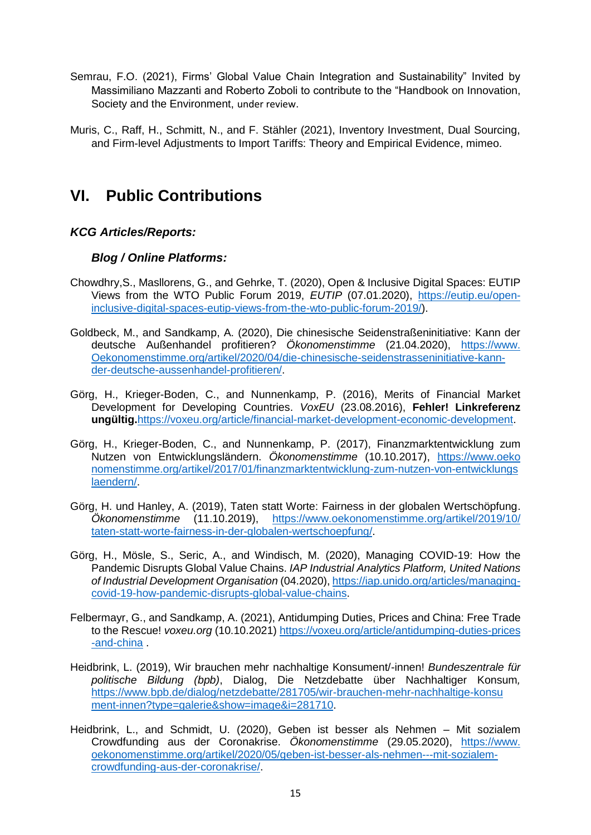- Semrau, F.O. (2021), Firms' Global Value Chain Integration and Sustainability" Invited by Massimiliano Mazzanti and Roberto Zoboli to contribute to the "Handbook on Innovation, Society and the Environment, under review.
- Muris, C., Raff, H., Schmitt, N., and F. Stähler (2021), Inventory Investment, Dual Sourcing, and Firm-level Adjustments to Import Tariffs: Theory and Empirical Evidence, mimeo.

## **VI. Public Contributions**

### *KCG Articles/Reports:*

### *Blog / Online Platforms:*

- Chowdhry,S., Masllorens, G., and Gehrke, T. (2020), Open & Inclusive Digital Spaces: EUTIP Views from the WTO Public Forum 2019, *EUTIP* (07.01.2020), [https://eutip.eu/open](https://eutip.eu/open-‌inclusive-digital-spaces-eutip-views-from-the-wto-public-forum-2019/)[inclusive-digital-spaces-eutip-views-from-the-wto-public-forum-2019/\)](https://eutip.eu/open-‌inclusive-digital-spaces-eutip-views-from-the-wto-public-forum-2019/).
- Goldbeck, M., and Sandkamp, A. (2020), Die chinesische Seidenstraßeninitiative: Kann der deutsche Außenhandel profitieren? *Ökonomenstimme* (21.04.2020), [https://www.](https://www.oekonomenstimme.org/artikel/2020/04/die-chinesische-seidenstrasseninitiative-kann-‌der-deutsche-aussenhandel-profitieren/) [Oekonomenstimme.org/artikel/2020/04/die-chinesische-seidenstrasseninitiative-kann](https://www.oekonomenstimme.org/artikel/2020/04/die-chinesische-seidenstrasseninitiative-kann-‌der-deutsche-aussenhandel-profitieren/)[der-deutsche-aussenhandel-profitieren/.](https://www.oekonomenstimme.org/artikel/2020/04/die-chinesische-seidenstrasseninitiative-kann-‌der-deutsche-aussenhandel-profitieren/)
- Görg, H., Krieger-Boden, C., and Nunnenkamp, P. (2016), Merits of Financial Market Development for Developing Countries. *VoxEU* (23.08.2016), **Fehler! Linkreferenz ungültig.**[https://voxeu.org/article/financial-market-development-economic-development.](https://voxeu.org/article/‌financial-market-development-economic-development)
- Görg, H., Krieger-Boden, C., and Nunnenkamp, P. (2017), Finanzmarktentwicklung zum Nutzen von Entwicklungsländern. *Ökonomenstimme* (10.10.2017), [https://www.oeko](https://www.oekonomenstimme.org/artikel/2017/01/finanzmarktentwicklung-zum-nutzen-von-entwicklungs‌laendern/) [nomenstimme.org/artikel/2017/01/finanzmarktentwicklung-zum-nutzen-von-entwicklungs](https://www.oekonomenstimme.org/artikel/2017/01/finanzmarktentwicklung-zum-nutzen-von-entwicklungs‌laendern/) [laendern/.](https://www.oekonomenstimme.org/artikel/2017/01/finanzmarktentwicklung-zum-nutzen-von-entwicklungs‌laendern/)
- Görg, H. und Hanley, A. (2019), Taten statt Worte: Fairness in der globalen Wertschöpfung. *Ökonomenstimme* (11.10.2019), [https://www.oekonomenstimme.org/artikel/2019/10/](https://www.oekonomenstimme.org/artikel/2019/10/‌taten-statt-worte-fairness-in-der-globalen-wertschoepfung/) [taten-statt-worte-fairness-in-der-globalen-wertschoepfung/.](https://www.oekonomenstimme.org/artikel/2019/10/‌taten-statt-worte-fairness-in-der-globalen-wertschoepfung/)
- Görg, H., Mösle, S., Seric, A., and Windisch, M. (2020), Managing COVID-19: How the Pandemic Disrupts Global Value Chains. *IAP Industrial Analytics Platform, United Nations of Industrial Development Organisation* (04.2020), [https://iap.unido.org/articles/managing](https://iap.unido.org/articles/managing-covid-19-how-pandemic-disrupts-global-value-chains)[covid-19-how-pandemic-disrupts-global-value-chains.](https://iap.unido.org/articles/managing-covid-19-how-pandemic-disrupts-global-value-chains)
- Felbermayr, G., and Sandkamp, A. (2021), Antidumping Duties, Prices and China: Free Trade to the Rescue! *voxeu.org* (10.10.2021) [https://voxeu.org/article/antidumping-duties-prices](https://voxeu.org/article/antidumping-duties-prices‌-and-china) [-and-china](https://voxeu.org/article/antidumping-duties-prices‌-and-china) .
- Heidbrink, L. (2019), Wir brauchen mehr nachhaltige Konsument/-innen! *Bundeszentrale für politische Bildung (bpb)*, Dialog, Die Netzdebatte über Nachhaltiger Konsum*,*  [https://www.bpb.de/dialog/netzdebatte/281705/wir-brauchen-mehr-nachhaltige-konsu](https://www.bpb.de/dialog/netzdebatte/281705/wir-brauchen-mehr-nachhaltige-konsu‌ment-innen?type=galerie&show=image&i=281710) [ment-innen?type=galerie&show=image&i=281710.](https://www.bpb.de/dialog/netzdebatte/281705/wir-brauchen-mehr-nachhaltige-konsu‌ment-innen?type=galerie&show=image&i=281710)
- Heidbrink, L., and Schmidt, U. (2020), Geben ist besser als Nehmen Mit sozialem Crowdfunding aus der Coronakrise. *Ökonomenstimme* (29.05.2020), [https://www.](https://www.oekonomenstimme.org/artikel/2020/05/geben-ist-besser-als-nehmen---mit-sozialem-‌crowdfunding-aus-der-coronakrise/) [oekonomenstimme.org/artikel/2020/05/geben-ist-besser-als-nehmen---mit-sozialem](https://www.oekonomenstimme.org/artikel/2020/05/geben-ist-besser-als-nehmen---mit-sozialem-‌crowdfunding-aus-der-coronakrise/)[crowdfunding-aus-der-coronakrise/.](https://www.oekonomenstimme.org/artikel/2020/05/geben-ist-besser-als-nehmen---mit-sozialem-‌crowdfunding-aus-der-coronakrise/)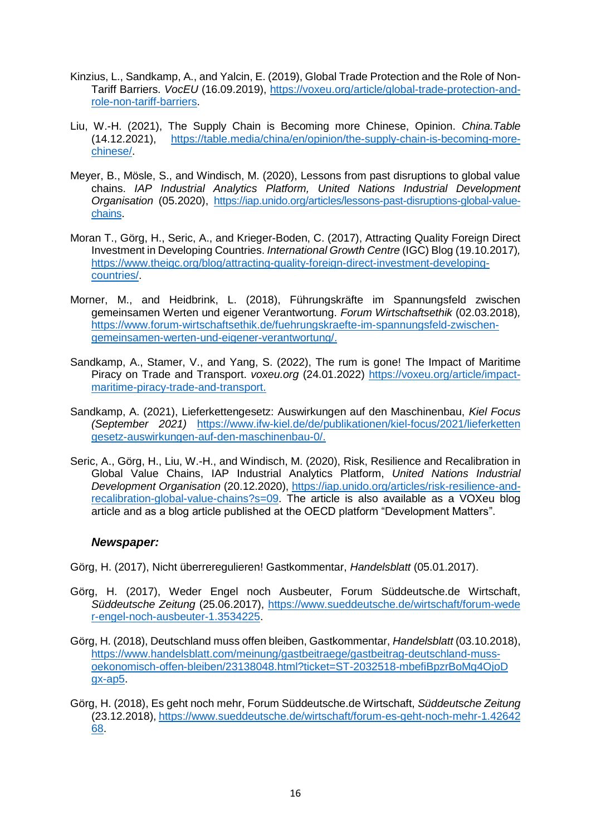- Kinzius, L., Sandkamp, A., and Yalcin, E. (2019), Global Trade Protection and the Role of Non-Tariff Barriers. *VocEU* (16.09.2019), [https://voxeu.org/article/global-trade-protection-and](https://voxeu.org/article/global-trade-protection-and-role-non-tariff-barriers)[role-non-tariff-barriers.](https://voxeu.org/article/global-trade-protection-and-role-non-tariff-barriers)
- Liu, W.-H. (2021), The Supply Chain is Becoming more Chinese, Opinion. *China.Table* (14.12.2021), [https://table.media/china/en/opinion/the-supply-chain-is-becoming-more](https://table.media/china/en/opinion/the-supply-chain-is-becoming-more-chinese/)[chinese/.](https://table.media/china/en/opinion/the-supply-chain-is-becoming-more-chinese/)
- Meyer, B., Mösle, S., and Windisch, M. (2020), Lessons from past disruptions to global value chains. *IAP Industrial Analytics Platform, United Nations Industrial Development Organisation* (05.2020), [https://iap.unido.org/articles/lessons-past-disruptions-global-value](https://iap.unido.org/articles/lessons-past-disruptions-global-value-chains)[chains.](https://iap.unido.org/articles/lessons-past-disruptions-global-value-chains)
- Moran T., Görg, H., Seric, A., and Krieger-Boden, C. (2017), Attracting Quality Foreign Direct Investment in Developing Countries. *International Growth Centre* (IGC) Blog (19.10.2017)*,* [https://www.theigc.org/blog/attracting-quality-foreign-direct-investment-developing](https://www.theigc.org/blog/attracting-quality-foreign-direct-investment-dev‌eloping-countries/)[countries/.](https://www.theigc.org/blog/attracting-quality-foreign-direct-investment-dev‌eloping-countries/)
- Morner, M., and Heidbrink, L. (2018), Führungskräfte im Spannungsfeld zwischen gemeinsamen Werten und eigener Verantwortung. *Forum Wirtschaftsethik* (02.03.2018)*,*  [https://www.forum-wirtschaftsethik.de/fuehrungskraefte-im-spannungsfeld-zwischen](https://www.forum-wirtschaftsethik.de/fuehrungskraefte-im-spannungsfeld‌-zwischen-gemeinsamen-werten-und-eigener-verantwortung/)[gemeinsamen-werten-und-eigener-verantwortung/.](https://www.forum-wirtschaftsethik.de/fuehrungskraefte-im-spannungsfeld‌-zwischen-gemeinsamen-werten-und-eigener-verantwortung/)
- Sandkamp, A., Stamer, V., and Yang, S. (2022), The rum is gone! The Impact of Maritime Piracy on Trade and Transport. *voxeu.org* (24.01.2022) [https://voxeu.org/article/impact](https://voxeu.org/article/impact-maritime-piracy-trade-and-transport)[maritime-piracy-trade-and-transport.](https://voxeu.org/article/impact-maritime-piracy-trade-and-transport)
- Sandkamp, A. (2021), Lieferkettengesetz: Auswirkungen auf den Maschinenbau, *Kiel Focus (September 2021)* [https://www.ifw-kiel.de/de/publikationen/kiel-focus/2021/lieferketten](https://www.ifw-kiel.de/de/publikationen/kiel-focus/2021/lieferketten‌gesetz-auswirkungen-auf-den-maschinenbau-0/) [gesetz-auswirkungen-auf-den-maschinenbau-0/.](https://www.ifw-kiel.de/de/publikationen/kiel-focus/2021/lieferketten‌gesetz-auswirkungen-auf-den-maschinenbau-0/)
- Seric, A., Görg, H., Liu, W.-H., and Windisch, M. (2020), Risk, Resilience and Recalibration in Global Value Chains, IAP Industrial Analytics Platform, *United Nations Industrial Development Organisation* (20.12.2020), [https://iap.unido.org/articles/risk-resilience-and](https://iap.unido.org/articles/risk-resilience-and-recalibration-global-value-chains?s=09)[recalibration-global-value-chains?s=09.](https://iap.unido.org/articles/risk-resilience-and-recalibration-global-value-chains?s=09) The article is also available as a VOXeu blog article and as a blog article published at the OECD platform "Development Matters".

### *Newspaper:*

Görg, H. (2017), Nicht überreregulieren! Gastkommentar, *Handelsblatt* (05.01.2017).

- Görg, H. (2017), Weder Engel noch Ausbeuter, Forum Süddeutsche.de Wirtschaft, *Süddeutsche Zeitung* (25.06.2017), [https://www.sueddeutsche.de/wirtschaft/forum-wede](https://www.sueddeutsche.de/wirtschaft/forum-wede‌r-engel-noch-ausbeuter-1.3534225) [r-engel-noch-ausbeuter-1.3534225.](https://www.sueddeutsche.de/wirtschaft/forum-wede‌r-engel-noch-ausbeuter-1.3534225)
- Görg, H. (2018), Deutschland muss offen bleiben, Gastkommentar, *Handelsblatt* (03.10.2018), [https://www.handelsblatt.com/meinung/gastbeitraege/gastbeitrag-deutschland-muss](https://www.handelsblatt.com/meinung/gastbeitraege/gastbeitrag-deutschland-muss-‌oekonomisch-offen-bleiben/23138048.html?ticket=ST-2032518-mbefiBpzrBoMq4OjoD‌gx-ap5)[oekonomisch-offen-bleiben/23138048.html?ticket=ST-2032518-mbefiBpzrBoMq4OjoD](https://www.handelsblatt.com/meinung/gastbeitraege/gastbeitrag-deutschland-muss-‌oekonomisch-offen-bleiben/23138048.html?ticket=ST-2032518-mbefiBpzrBoMq4OjoD‌gx-ap5) [gx-ap5.](https://www.handelsblatt.com/meinung/gastbeitraege/gastbeitrag-deutschland-muss-‌oekonomisch-offen-bleiben/23138048.html?ticket=ST-2032518-mbefiBpzrBoMq4OjoD‌gx-ap5)
- Görg, H. (2018), Es geht noch mehr, Forum Süddeutsche.de Wirtschaft, *Süddeutsche Zeitung* (23.12.2018), [https://www.sueddeutsche.de/wirtschaft/forum-es-geht-noch-mehr-1.42642](https://www.sueddeutsche.de/wirtschaft/forum-es-geht-noch-mehr-1.4264268) [68.](https://www.sueddeutsche.de/wirtschaft/forum-es-geht-noch-mehr-1.4264268)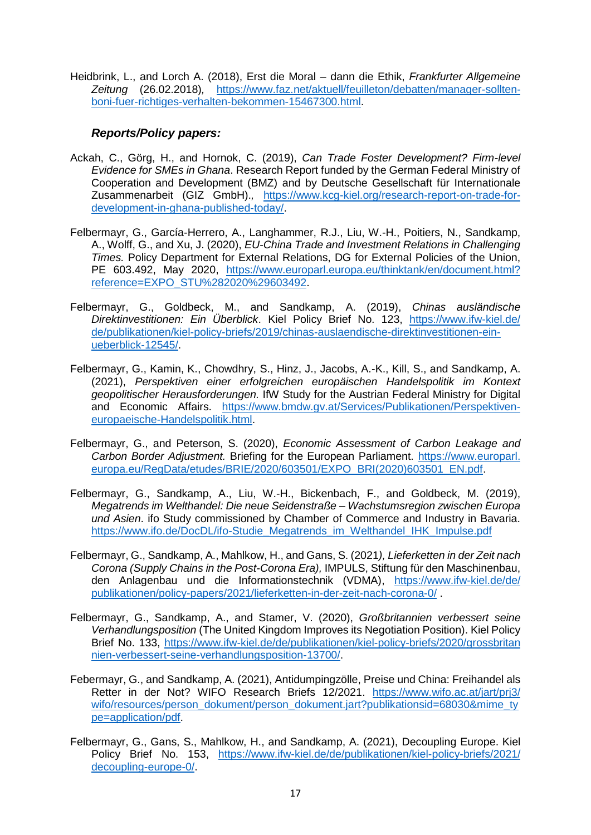Heidbrink, L., and Lorch A. (2018), Erst die Moral – dann die Ethik, *Frankfurter Allgemeine Zeitung* (26.02.2018)*,* [https://www.faz.net/aktuell/feuilleton/debatten/manager-sollten](https://www.faz.net/aktuell/feuilleton/debatten/manager-sollten-‌boni-fuer-richtiges-verhalten-bekommen-15467300.html)[boni-fuer-richtiges-verhalten-bekommen-15467300.html.](https://www.faz.net/aktuell/feuilleton/debatten/manager-sollten-‌boni-fuer-richtiges-verhalten-bekommen-15467300.html)

### *Reports/Policy papers:*

- Ackah, C., Görg, H., and Hornok, C. (2019), *Can Trade Foster Development? Firm-level Evidence for SMEs in Ghana*. Research Report funded by the German Federal Ministry of Cooperation and Development (BMZ) and by Deutsche Gesellschaft für Internationale Zusammenarbeit (GIZ GmbH).*,* [https://www.kcg-kiel.org/research-report-on-trade-for](https://www.kcg-kiel.org/research-report-on-trade-for-development-in-ghana-published-today/)[development-in-ghana-published-today/.](https://www.kcg-kiel.org/research-report-on-trade-for-development-in-ghana-published-today/)
- Felbermayr, G., García-Herrero, A., Langhammer, R.J., Liu, W.-H., Poitiers, N., Sandkamp, A., Wolff, G., and Xu, J. (2020), *EU-China Trade and Investment Relations in Challenging Times.* Policy Department for External Relations, DG for External Policies of the Union, PE 603.492, May 2020, [https://www.europarl.europa.eu/thinktank/en/document.html?](https://www.europarl.europa.eu/thinktank/en/document.html?‌reference=EXPO_STU%282020%29603492) [reference=EXPO\\_STU%282020%29603492.](https://www.europarl.europa.eu/thinktank/en/document.html?‌reference=EXPO_STU%282020%29603492)
- Felbermayr, G., Goldbeck, M., and Sandkamp, A. (2019), *Chinas ausländische Direktinvestitionen: Ein Überblick*. Kiel Policy Brief No. 123, [https://www.ifw-kiel.de/](https://www.ifw-kiel.de/‌de/publikationen/kiel-policy-briefs/2019/chinas-auslaendische-direktinvestitionen-ein-‌ueberblick-12545/) [de/publikationen/kiel-policy-briefs/2019/chinas-auslaendische-direktinvestitionen-ein](https://www.ifw-kiel.de/‌de/publikationen/kiel-policy-briefs/2019/chinas-auslaendische-direktinvestitionen-ein-‌ueberblick-12545/)[ueberblick-12545/.](https://www.ifw-kiel.de/‌de/publikationen/kiel-policy-briefs/2019/chinas-auslaendische-direktinvestitionen-ein-‌ueberblick-12545/)
- Felbermayr, G., Kamin, K., Chowdhry, S., Hinz, J., Jacobs, A.-K., Kill, S., and Sandkamp, A. (2021), *Perspektiven einer erfolgreichen europäischen Handelspolitik im Kontext geopolitischer Herausforderungen.* IfW Study for the Austrian Federal Ministry for Digital and Economic Affairs. [https://www.bmdw.gv.at/Services/Publikationen/Perspektiven](https://www.bmdw.gv.at/Services/Publikationen/Perspektiven-europaeische-Handelspolitik.html)[europaeische-Handelspolitik.html.](https://www.bmdw.gv.at/Services/Publikationen/Perspektiven-europaeische-Handelspolitik.html)
- Felbermayr, G., and Peterson, S. (2020), *Economic Assessment of Carbon Leakage and Carbon Border Adjustment.* Briefing for the European Parliament. [https://www.europarl.](https://www.europarl.europa.eu/RegData/etudes/BRIE/2020/603501/EXPO_BRI(2020)603501_EN.pdf) [europa.eu/RegData/etudes/BRIE/2020/603501/EXPO\\_BRI\(2020\)603501\\_EN.pdf.](https://www.europarl.europa.eu/RegData/etudes/BRIE/2020/603501/EXPO_BRI(2020)603501_EN.pdf)
- Felbermayr, G., Sandkamp, A., Liu, W.-H., Bickenbach, F., and Goldbeck, M. (2019), *Megatrends im Welthandel: Die neue Seidenstraße – Wachstumsregion zwischen Europa und Asien*. ifo Study commissioned by Chamber of Commerce and Industry in Bavaria. [https://www.ifo.de/DocDL/ifo-Studie\\_Megatrends\\_im\\_Welthandel\\_IHK\\_Impulse.pdf](https://www.ifo.de/DocDL/ifo-Studie_Megatrends_im_Welthandel_IHK_Impulse.pdf)
- Felbermayr, G., Sandkamp, A., Mahlkow, H., and Gans, S. (2021*), Lieferketten in der Zeit nach Corona (Supply Chains in the Post-Corona Era),* IMPULS, Stiftung für den Maschinenbau, den Anlagenbau und die Informationstechnik (VDMA), [https://www.ifw-kiel.de/de/](https://www.ifw-kiel.de/de/‌publikationen/policy-papers/2021/lieferketten-in-der-zeit-nach-corona-0/) [publikationen/policy-papers/2021/lieferketten-in-der-zeit-nach-corona-0/](https://www.ifw-kiel.de/de/‌publikationen/policy-papers/2021/lieferketten-in-der-zeit-nach-corona-0/) .
- Felbermayr, G., Sandkamp, A., and Stamer, V. (2020), *Großbritannien verbessert seine Verhandlungsposition* (The United Kingdom Improves its Negotiation Position). Kiel Policy Brief No. 133, [https://www.ifw-kiel.de/de/publikationen/kiel-policy-briefs/2020/grossbritan](https://www.ifw-kiel.de/de/publikationen/kiel-policy-briefs/2020/grossbritan‌nien-verbessert-seine-verhandlungsposition-13700/) [nien-verbessert-seine-verhandlungsposition-13700/.](https://www.ifw-kiel.de/de/publikationen/kiel-policy-briefs/2020/grossbritan‌nien-verbessert-seine-verhandlungsposition-13700/)
- Febermayr, G., and Sandkamp, A. (2021), Antidumpingzölle, Preise und China: Freihandel als Retter in der Not? WIFO Research Briefs 12/2021. [https://www.wifo.ac.at/jart/prj3/](https://www.wifo.ac.at/jart/prj3/wifo/resources/person_dokument/person_dokument.jart?publikationsid=68030&mime_type=application/pdf) [wifo/resources/person\\_dokument/person\\_dokument.jart?publikationsid=68030&mime\\_ty](https://www.wifo.ac.at/jart/prj3/wifo/resources/person_dokument/person_dokument.jart?publikationsid=68030&mime_type=application/pdf) [pe=application/pdf.](https://www.wifo.ac.at/jart/prj3/wifo/resources/person_dokument/person_dokument.jart?publikationsid=68030&mime_type=application/pdf)
- Felbermayr, G., Gans, S., Mahlkow, H., and Sandkamp, A. (2021), Decoupling Europe. Kiel Policy Brief No. 153, [https://www.ifw-kiel.de/de/publikationen/kiel-policy-briefs/2021/](https://www.ifw-kiel.de/de/publikationen/kiel-policy-briefs/2021/decoupling-europe-0/) [decoupling-europe-0/.](https://www.ifw-kiel.de/de/publikationen/kiel-policy-briefs/2021/decoupling-europe-0/)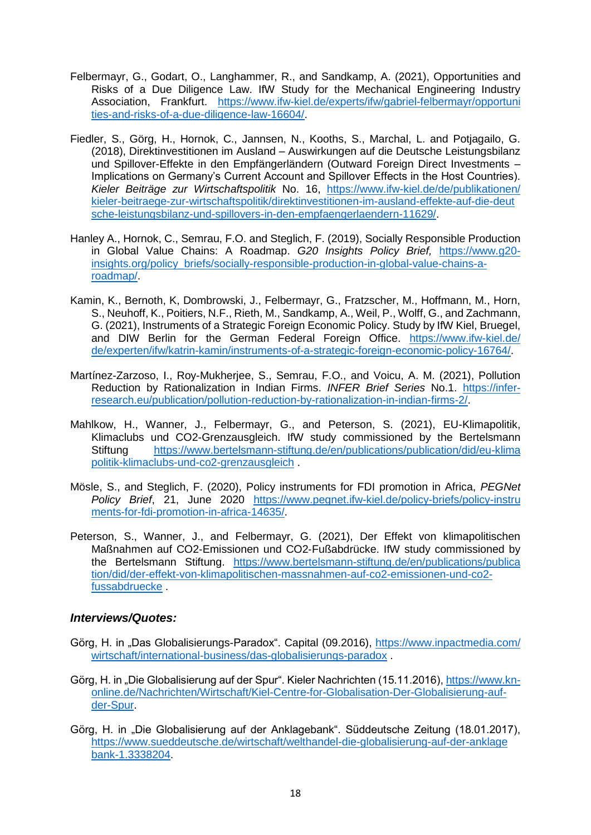- Felbermayr, G., Godart, O., Langhammer, R., and Sandkamp, A. (2021), Opportunities and Risks of a Due Diligence Law. IfW Study for the Mechanical Engineering Industry Association, Frankfurt. [https://www.ifw-kiel.de/experts/ifw/gabriel-felbermayr/opportuni](https://www.ifw-kiel.de/experts/ifw/gabriel-felbermayr/opportuni‌ties-and-risks-of-a-due-diligence-law-16604/) [ties-and-risks-of-a-due-diligence-law-16604/.](https://www.ifw-kiel.de/experts/ifw/gabriel-felbermayr/opportuni‌ties-and-risks-of-a-due-diligence-law-16604/)
- Fiedler, S., Görg, H., Hornok, C., Jannsen, N., Kooths, S., Marchal, L. and Potjagailo, G. (2018), Direktinvestitionen im Ausland – Auswirkungen auf die Deutsche Leistungsbilanz und Spillover-Effekte in den Empfängerländern (Outward Foreign Direct Investments – Implications on Germany's Current Account and Spillover Effects in the Host Countries). *Kieler Beiträge zur Wirtschaftspolitik* No. 16, [https://www.ifw-kiel.de/de/publikationen/](https://www.ifw-kiel.de/de/‌publikationen/kieler-beitraege-zur-wirtschaftspolitik/direktinvestitionen-im-ausland-effekte‌-auf-die-deutsche-leistungsbilanz-und-spillovers-in-den-empfaengerlaendern-11629/) [kieler-beitraege-zur-wirtschaftspolitik/direktinvestitionen-im-ausland-effekte-auf-die-deut](https://www.ifw-kiel.de/de/‌publikationen/kieler-beitraege-zur-wirtschaftspolitik/direktinvestitionen-im-ausland-effekte‌-auf-die-deutsche-leistungsbilanz-und-spillovers-in-den-empfaengerlaendern-11629/) [sche-leistungsbilanz-und-spillovers-in-den-empfaengerlaendern-11629/.](https://www.ifw-kiel.de/de/‌publikationen/kieler-beitraege-zur-wirtschaftspolitik/direktinvestitionen-im-ausland-effekte‌-auf-die-deutsche-leistungsbilanz-und-spillovers-in-den-empfaengerlaendern-11629/)
- Hanley A., Hornok, C., Semrau, F.O. and Steglich, F. (2019), Socially Responsible Production in Global Value Chains: A Roadmap. *G20 Insights Policy Brief,* [https://www.g20](https://www.g20-insights.org/policy_briefs/socially-responsible-production-in-global-value-chains-a-roadmap/) [insights.org/policy\\_briefs/socially-responsible-production-in-global-value-chains-a](https://www.g20-insights.org/policy_briefs/socially-responsible-production-in-global-value-chains-a-roadmap/)[roadmap/.](https://www.g20-insights.org/policy_briefs/socially-responsible-production-in-global-value-chains-a-roadmap/)
- Kamin, K., Bernoth, K, Dombrowski, J., Felbermayr, G., Fratzscher, M., Hoffmann, M., Horn, S., Neuhoff, K., Poitiers, N.F., Rieth, M., Sandkamp, A., Weil, P., Wolff, G., and Zachmann, G. (2021), Instruments of a Strategic Foreign Economic Policy. Study by IfW Kiel, Bruegel, and DIW Berlin for the German Federal Foreign Office. [https://www.ifw-kiel.de/](https://www.ifw-kiel.de/de/experten/ifw/katrin-kamin/instruments-of-a-strategic-foreign-economic-policy-16764/) [de/experten/ifw/katrin-kamin/instruments-of-a-strategic-foreign-economic-policy-16764/.](https://www.ifw-kiel.de/de/experten/ifw/katrin-kamin/instruments-of-a-strategic-foreign-economic-policy-16764/)
- Martínez-Zarzoso, I., Roy-Mukherjee, S., Semrau, F.O., and Voicu, A. M. (2021), Pollution Reduction by Rationalization in Indian Firms. *INFER Brief Series* No.1. [https://infer](https://infer-research.eu/publication/pollution-reduction-by-rationalization-in-indian-firms-2/)[research.eu/publication/pollution-reduction-by-rationalization-in-indian-firms-2/.](https://infer-research.eu/publication/pollution-reduction-by-rationalization-in-indian-firms-2/)
- Mahlkow, H., Wanner, J., Felbermayr, G., and Peterson, S. (2021), EU-Klimapolitik, Klimaclubs und CO2-Grenzausgleich. IfW study commissioned by the Bertelsmann Stiftung [https://www.bertelsmann-stiftung.de/en/publications/publication/did/eu-klima](https://www.bertelsmann-stiftung.de/en/publications/publication/did/eu-klima‌politik-klimaclubs-und-co2-grenzausgleich) [politik-klimaclubs-und-co2-grenzausgleich](https://www.bertelsmann-stiftung.de/en/publications/publication/did/eu-klima‌politik-klimaclubs-und-co2-grenzausgleich) .
- Mösle, S., and Steglich, F. (2020), Policy instruments for FDI promotion in Africa, *PEGNet Policy Brief*, 21, June 2020 [https://www.pegnet.ifw-kiel.de/policy-briefs/policy-instru](https://www.pegnet.ifw-kiel.de/policy-briefs/policy-instru‌ments-for-fdi-promotion-in-africa-14635/) [ments-for-fdi-promotion-in-africa-14635/.](https://www.pegnet.ifw-kiel.de/policy-briefs/policy-instru‌ments-for-fdi-promotion-in-africa-14635/)
- Peterson, S., Wanner, J., and Felbermayr, G. (2021), Der Effekt von klimapolitischen Maßnahmen auf CO2‐Emissionen und CO2‐Fußabdrücke. IfW study commissioned by the Bertelsmann Stiftung. [https://www.bertelsmann-stiftung.de/en/publications/publica](https://www.bertelsmann-stiftung.de/en/publications/publica‌tion/did/der-effekt-von-klimapolitischen-massnahmen-auf-co2-emissionen-und-co2-fussabdruecke) [tion/did/der-effekt-von-klimapolitischen-massnahmen-auf-co2-emissionen-und-co2](https://www.bertelsmann-stiftung.de/en/publications/publica‌tion/did/der-effekt-von-klimapolitischen-massnahmen-auf-co2-emissionen-und-co2-fussabdruecke) [fussabdruecke](https://www.bertelsmann-stiftung.de/en/publications/publica‌tion/did/der-effekt-von-klimapolitischen-massnahmen-auf-co2-emissionen-und-co2-fussabdruecke) .

### *Interviews/Quotes:*

- Görg, H. in "Das Globalisierungs-Paradox". Capital (09.2016), [https://www.inpactmedia.com/](https://www.inpactmedia.com/wirtschaft/international-business/das-globalisierungs-paradox) [wirtschaft/international-business/das-globalisierungs-paradox](https://www.inpactmedia.com/wirtschaft/international-business/das-globalisierungs-paradox) .
- Görg, H. in "Die Globalisierung auf der Spur". Kieler Nachrichten (15.11.2016), [https://www.kn](https://www.kn-online.de/Nachrichten/Wirtschaft/Kiel-Centre-for-Globalisation-Der-Globalisierung-auf-der-Spur)[online.de/Nachrichten/Wirtschaft/Kiel-Centre-for-Globalisation-Der-Globalisierung-auf](https://www.kn-online.de/Nachrichten/Wirtschaft/Kiel-Centre-for-Globalisation-Der-Globalisierung-auf-der-Spur)[der-Spur.](https://www.kn-online.de/Nachrichten/Wirtschaft/Kiel-Centre-for-Globalisation-Der-Globalisierung-auf-der-Spur)
- Görg, H. in "Die Globalisierung auf der Anklagebank". Süddeutsche Zeitung (18.01.2017), [https://www.sueddeutsche.de/wirtschaft/welthandel-die-globalisierung-auf-der-anklage](https://www.sueddeutsche.de/wirtschaft/welthandel-die-globalisierung-auf-der-anklagebank-1.3338204) [bank-1.3338204.](https://www.sueddeutsche.de/wirtschaft/welthandel-die-globalisierung-auf-der-anklagebank-1.3338204)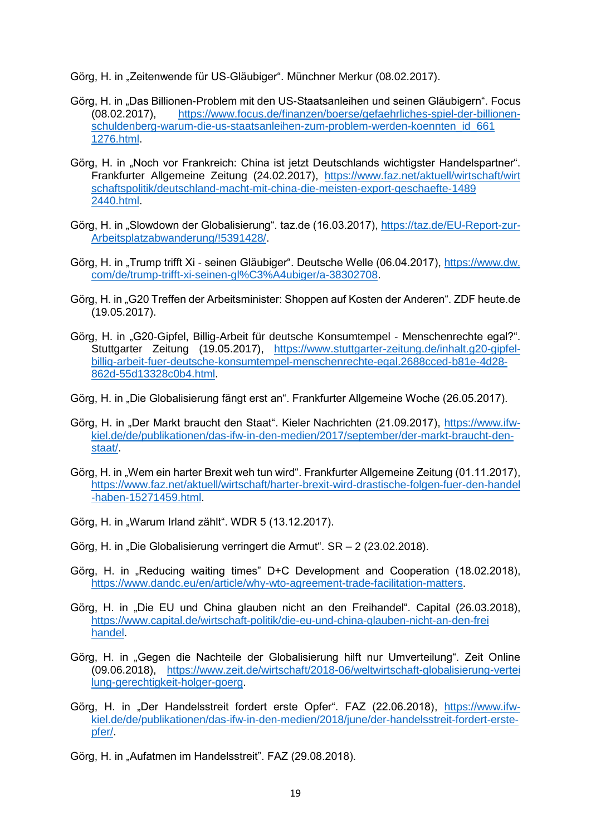Görg, H. in "Zeitenwende für US-Gläubiger". Münchner Merkur (08.02.2017).

- Görg, H. in "Das Billionen-Problem mit den US-Staatsanleihen und seinen Gläubigern". Focus (08.02.2017), [https://www.focus.de/finanzen/boerse/gefaehrliches-spiel-der-billionen](https://www.focus.de/finanzen/boerse/gefaehrliches-spiel-der-billionen-‌schuldenberg-warum-die-us-staatsanleihen-zum-problem-werden-koennten_id_661‌1276.html)[schuldenberg-warum-die-us-staatsanleihen-zum-problem-werden-koennten\\_id\\_661](https://www.focus.de/finanzen/boerse/gefaehrliches-spiel-der-billionen-‌schuldenberg-warum-die-us-staatsanleihen-zum-problem-werden-koennten_id_661‌1276.html) [1276.html.](https://www.focus.de/finanzen/boerse/gefaehrliches-spiel-der-billionen-‌schuldenberg-warum-die-us-staatsanleihen-zum-problem-werden-koennten_id_661‌1276.html)
- Görg, H. in "Noch vor Frankreich: China ist jetzt Deutschlands wichtigster Handelspartner". Frankfurter Allgemeine Zeitung (24.02.2017), [https://www.faz.net/aktuell/wirtschaft/wirt](https://www.faz.net/aktuell/wirtschaft/wirt‌schaftspolitik/deutschland-macht-mit-china-die-meisten-export-geschaefte-14892440.html) [schaftspolitik/deutschland-macht-mit-china-die-meisten-export-geschaefte-1489](https://www.faz.net/aktuell/wirtschaft/wirt‌schaftspolitik/deutschland-macht-mit-china-die-meisten-export-geschaefte-14892440.html) [2440.html.](https://www.faz.net/aktuell/wirtschaft/wirt‌schaftspolitik/deutschland-macht-mit-china-die-meisten-export-geschaefte-14892440.html)
- Görg, H. in "Slowdown der Globalisierung". taz.de (16.03.2017), [https://taz.de/EU-Report-zur-](https://taz.de/EU-Report-zur-Arbeitsplatzabwanderung/!5391428/)[Arbeitsplatzabwanderung/!5391428/.](https://taz.de/EU-Report-zur-Arbeitsplatzabwanderung/!5391428/)
- Görg, H. in "Trump trifft Xi seinen Gläubiger". Deutsche Welle (06.04.2017), [https://www.dw.](https://www.dw.com/de/trump-trifft-xi-seinen-gl%C3%A4ubiger/a-38302708) [com/de/trump-trifft-xi-seinen-gl%C3%A4ubiger/a-38302708.](https://www.dw.com/de/trump-trifft-xi-seinen-gl%C3%A4ubiger/a-38302708)
- Görg, H. in "G20 Treffen der Arbeitsminister: Shoppen auf Kosten der Anderen". ZDF heute.de (19.05.2017).
- Görg, H. in "G20-Gipfel, Billig-Arbeit für deutsche Konsumtempel Menschenrechte egal?". Stuttgarter Zeitung (19.05.2017), [https://www.stuttgarter-zeitung.de/inhalt.g20-gipfel](https://www.stuttgarter-zeitung.de/inhalt.g20-gipfel-billig-arbeit-fuer-deutsche-konsumtempel-menschenrechte-egal.2688cced-b81e-4d28-862d-55d13328c0b4.html)[billig-arbeit-fuer-deutsche-konsumtempel-menschenrechte-egal.2688cced-b81e-4d28-](https://www.stuttgarter-zeitung.de/inhalt.g20-gipfel-billig-arbeit-fuer-deutsche-konsumtempel-menschenrechte-egal.2688cced-b81e-4d28-862d-55d13328c0b4.html) [862d-55d13328c0b4.html.](https://www.stuttgarter-zeitung.de/inhalt.g20-gipfel-billig-arbeit-fuer-deutsche-konsumtempel-menschenrechte-egal.2688cced-b81e-4d28-862d-55d13328c0b4.html)
- Görg, H. in "Die Globalisierung fängt erst an". Frankfurter Allgemeine Woche (26.05.2017).
- Görg, H. in "Der Markt braucht den Staat". Kieler Nachrichten (21.09.2017), [https://www.ifw](https://www.ifw-kiel.de/de/publikationen/das-ifw-in-den-medien/2017/september/der-markt-braucht-den-staat/)[kiel.de/de/publikationen/das-ifw-in-den-medien/2017/september/der-markt-braucht-den](https://www.ifw-kiel.de/de/publikationen/das-ifw-in-den-medien/2017/september/der-markt-braucht-den-staat/)[staat/.](https://www.ifw-kiel.de/de/publikationen/das-ifw-in-den-medien/2017/september/der-markt-braucht-den-staat/)
- Görg, H. in "Wem ein harter Brexit weh tun wird". Frankfurter Allgemeine Zeitung (01.11.2017), [https://www.faz.net/aktuell/wirtschaft/harter-brexit-wird-drastische-folgen-fuer-den-handel](https://www.faz.net/aktuell/wirtschaft/harter-brexit-wird-drastische-folgen-fuer-den-handel‌-haben-15271459.html) [-haben-15271459.html.](https://www.faz.net/aktuell/wirtschaft/harter-brexit-wird-drastische-folgen-fuer-den-handel‌-haben-15271459.html)
- Görg, H. in "Warum Irland zählt". WDR 5 (13.12.2017).
- Görg, H. in "Die Globalisierung verringert die Armut". SR 2 (23.02.2018).
- Görg, H. in ..Reducing waiting times" D+C Development and Cooperation (18.02.2018), [https://www.dandc.eu/en/article/why-wto-agreement-trade-facilitation-matters.](https://www.dandc.eu/en/article/why-wto-agreement-trade-facilitation-matters)
- Görg, H. in "Die EU und China glauben nicht an den Freihandel". Capital (26.03.2018), [https://www.capital.de/wirtschaft-politik/die-eu-und-china-glauben-nicht-an-den-frei](https://www.capital.de/wirtschaft-politik/die-eu-und-china-glauben-nicht-an-den-freihandel) [handel.](https://www.capital.de/wirtschaft-politik/die-eu-und-china-glauben-nicht-an-den-freihandel)
- Görg, H. in "Gegen die Nachteile der Globalisierung hilft nur Umverteilung". Zeit Online (09.06.2018), [https://www.zeit.de/wirtschaft/2018-06/weltwirtschaft-globalisierung-vertei](https://www.zeit.de/wirtschaft/2018-06/weltwirtschaft-globalisierung-vertei‌lung-gerechtigkeit-holger-goerg) [lung-gerechtigkeit-holger-goerg.](https://www.zeit.de/wirtschaft/2018-06/weltwirtschaft-globalisierung-vertei‌lung-gerechtigkeit-holger-goerg)
- Görg, H. in "Der Handelsstreit fordert erste Opfer". FAZ (22.06.2018), [https://www.ifw](https://www.ifw-kiel.de/de/publikationen/das-ifw-in-den-medien/2018/june/der-handelsstreit-fordert-erste-opfer/)[kiel.de/de/publikationen/das-ifw-in-den-medien/2018/june/der-handelsstreit-fordert-erste](https://www.ifw-kiel.de/de/publikationen/das-ifw-in-den-medien/2018/june/der-handelsstreit-fordert-erste-opfer/)[pfer/.](https://www.ifw-kiel.de/de/publikationen/das-ifw-in-den-medien/2018/june/der-handelsstreit-fordert-erste-opfer/)
- Görg, H. in "Aufatmen im Handelsstreit". FAZ (29.08.2018).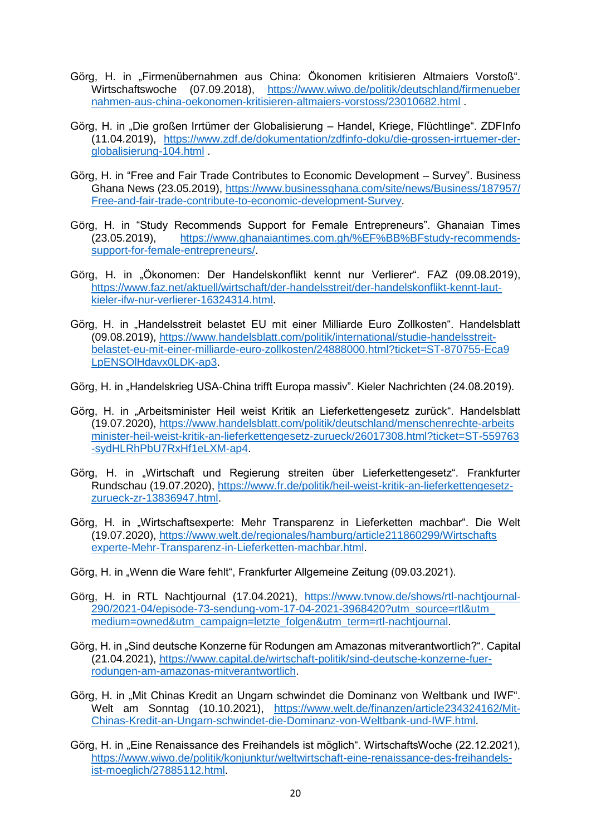- Görg, H. in "Firmenübernahmen aus China: Ökonomen kritisieren Altmaiers Vorstoß". Wirtschaftswoche (07.09.2018), [https://www.wiwo.de/politik/deutschland/firmenueber](https://www.wiwo.de/politik/deutschland/firmenueber‌nahmen-aus-china-oekonomen-kritisieren-altmaiers-vorstoss/23010682.html) [nahmen-aus-china-oekonomen-kritisieren-altmaiers-vorstoss/23010682.html](https://www.wiwo.de/politik/deutschland/firmenueber‌nahmen-aus-china-oekonomen-kritisieren-altmaiers-vorstoss/23010682.html) .
- Görg, H. in "Die großen Irrtümer der Globalisierung Handel, Kriege, Flüchtlinge". ZDFInfo (11.04.2019), [https://www.zdf.de/dokumentation/zdfinfo-doku/die-grossen-irrtuemer-der](https://www.zdf.de/dokumentation/zdfinfo-doku/die-grossen-irrtuemer-der-globalisierung-104.html)[globalisierung-104.html](https://www.zdf.de/dokumentation/zdfinfo-doku/die-grossen-irrtuemer-der-globalisierung-104.html) .
- Görg, H. in "Free and Fair Trade Contributes to Economic Development Survey". Business Ghana News (23.05.2019), [https://www.businessghana.com/site/news/Business/187957/](https://www.businessghana.com/site/news/Business/187957/‌Free-and-fair-trade-contribute-to-economic-development-Survey) [Free-and-fair-trade-contribute-to-economic-development-Survey.](https://www.businessghana.com/site/news/Business/187957/‌Free-and-fair-trade-contribute-to-economic-development-Survey)
- Görg, H. in "Study Recommends Support for Female Entrepreneurs". Ghanaian Times (23.05.2019), [https://www.ghanaiantimes.com.gh/%EF%BB%BFstudy-recommends](https://www.ghanaiantimes.com.gh/%EF%BB%BFstudy-recommends-‌support-for-female-entrepreneurs/)[support-for-female-entrepreneurs/.](https://www.ghanaiantimes.com.gh/%EF%BB%BFstudy-recommends-‌support-for-female-entrepreneurs/)
- Görg, H. in "Ökonomen: Der Handelskonflikt kennt nur Verlierer". FAZ (09.08.2019), [https://www.faz.net/aktuell/wirtschaft/der-handelsstreit/der-handelskonflikt-kennt-laut](https://www.faz.net/aktuell/wirtschaft/der-handelsstreit/der-handelskonflikt-kennt-laut-kieler-ifw-nur-verlierer-16324314.html)[kieler-ifw-nur-verlierer-16324314.html.](https://www.faz.net/aktuell/wirtschaft/der-handelsstreit/der-handelskonflikt-kennt-laut-kieler-ifw-nur-verlierer-16324314.html)
- Görg, H. in "Handelsstreit belastet EU mit einer Milliarde Euro Zollkosten". Handelsblatt (09.08.2019), [https://www.handelsblatt.com/politik/international/studie-handelsstreit](https://www.handelsblatt.com/politik/international/studie-handelsstreit-‌belastet-eu-mit-einer-milliarde-euro-zollkosten/24888000.html?ticket=ST-870755-Eca9‌LpENSOlHdavx0LDK-ap3)[belastet-eu-mit-einer-milliarde-euro-zollkosten/24888000.html?ticket=ST-870755-Eca9](https://www.handelsblatt.com/politik/international/studie-handelsstreit-‌belastet-eu-mit-einer-milliarde-euro-zollkosten/24888000.html?ticket=ST-870755-Eca9‌LpENSOlHdavx0LDK-ap3) [LpENSOlHdavx0LDK-ap3.](https://www.handelsblatt.com/politik/international/studie-handelsstreit-‌belastet-eu-mit-einer-milliarde-euro-zollkosten/24888000.html?ticket=ST-870755-Eca9‌LpENSOlHdavx0LDK-ap3)
- Görg, H. in "Handelskrieg USA-China trifft Europa massiv". Kieler Nachrichten (24.08.2019).
- Görg, H. in "Arbeitsminister Heil weist Kritik an Lieferkettengesetz zurück". Handelsblatt (19.07.2020), [https://www.handelsblatt.com/politik/deutschland/menschenrechte-arbeits](https://www.handelsblatt.com/politik/deutschland/menschenrechte-arbeitsminister-heil-weist-kritik-an-lieferkettengesetz-zurueck/26017308.html?ticket=ST-559763-sydHLRhPbU7RxHf1eLXM-ap4) [minister-heil-weist-kritik-an-lieferkettengesetz-zurueck/26017308.html?ticket=ST-559763](https://www.handelsblatt.com/politik/deutschland/menschenrechte-arbeitsminister-heil-weist-kritik-an-lieferkettengesetz-zurueck/26017308.html?ticket=ST-559763-sydHLRhPbU7RxHf1eLXM-ap4) [-sydHLRhPbU7RxHf1eLXM-ap4.](https://www.handelsblatt.com/politik/deutschland/menschenrechte-arbeitsminister-heil-weist-kritik-an-lieferkettengesetz-zurueck/26017308.html?ticket=ST-559763-sydHLRhPbU7RxHf1eLXM-ap4)
- Görg, H. in "Wirtschaft und Regierung streiten über Lieferkettengesetz". Frankfurter Rundschau (19.07.2020), [https://www.fr.de/politik/heil-weist-kritik-an-lieferkettengesetz](https://www.fr.de/politik/heil-weist-kritik-an-lieferkettengesetz-zurueck-zr-13836947.html)[zurueck-zr-13836947.html.](https://www.fr.de/politik/heil-weist-kritik-an-lieferkettengesetz-zurueck-zr-13836947.html)
- Görg, H. in "Wirtschaftsexperte: Mehr Transparenz in Lieferketten machbar". Die Welt (19.07.2020), [https://www.welt.de/regionales/hamburg/article211860299/Wirtschafts](https://www.welt.de/regionales/hamburg/article211860299/Wirtschafts‌experte-Mehr-Transparenz-in-Lieferketten-machbar.html) [experte-Mehr-Transparenz-in-Lieferketten-machbar.html.](https://www.welt.de/regionales/hamburg/article211860299/Wirtschafts‌experte-Mehr-Transparenz-in-Lieferketten-machbar.html)
- Görg, H. in "Wenn die Ware fehlt", Frankfurter Allgemeine Zeitung (09.03.2021).
- Görg, H. in RTL Nachtjournal (17.04.2021), [https://www.tvnow.de/shows/rtl-nachtjournal-](https://www.tvnow.de/shows/rtl-nachtjournal-290/2021-04/episode-73-sendung-vom-17-04-2021-3968420?utm_source=rtl&utm_medium=owned&utm_campaign=letzte_folgen&utm_term=rtl-nachtjournal)[290/2021-04/episode-73-sendung-vom-17-04-2021-3968420?utm\\_source=rtl&utm\\_](https://www.tvnow.de/shows/rtl-nachtjournal-290/2021-04/episode-73-sendung-vom-17-04-2021-3968420?utm_source=rtl&utm_medium=owned&utm_campaign=letzte_folgen&utm_term=rtl-nachtjournal) [medium=owned&utm\\_campaign=letzte\\_folgen&utm\\_term=rtl-nachtjournal.](https://www.tvnow.de/shows/rtl-nachtjournal-290/2021-04/episode-73-sendung-vom-17-04-2021-3968420?utm_source=rtl&utm_medium=owned&utm_campaign=letzte_folgen&utm_term=rtl-nachtjournal)
- Görg, H. in "Sind deutsche Konzerne für Rodungen am Amazonas mitverantwortlich?". Capital (21.04.2021), [https://www.capital.de/wirtschaft-politik/sind-deutsche-konzerne-fuer](https://www.capital.de/wirtschaft-politik/sind-deutsche-konzerne-fuer-rodungen-am-amazonas-mitverantwortlich)[rodungen-am-amazonas-mitverantwortlich.](https://www.capital.de/wirtschaft-politik/sind-deutsche-konzerne-fuer-rodungen-am-amazonas-mitverantwortlich)
- Görg, H. in "Mit Chinas Kredit an Ungarn schwindet die Dominanz von Weltbank und IWF". Welt am Sonntag (10.10.2021), [https://www.welt.de/finanzen/article234324162/Mit-](https://www.welt.de/finanzen/article234324162/Mit-Chinas-Kredit-an-Ungarn-schwindet-die-Dominanz-von-Weltbank-und-IWF.html)[Chinas-Kredit-an-Ungarn-schwindet-die-Dominanz-von-Weltbank-und-IWF.html.](https://www.welt.de/finanzen/article234324162/Mit-Chinas-Kredit-an-Ungarn-schwindet-die-Dominanz-von-Weltbank-und-IWF.html)
- Görg, H. in "Eine Renaissance des Freihandels ist möglich". WirtschaftsWoche (22.12.2021), [https://www.wiwo.de/politik/konjunktur/weltwirtschaft-eine-renaissance-des-freihandels](https://www.wiwo.de/politik/konjunktur/weltwirtschaft-eine-renaissance-des-freihandels-ist-moeglich/27885112.html)[ist-moeglich/27885112.html.](https://www.wiwo.de/politik/konjunktur/weltwirtschaft-eine-renaissance-des-freihandels-ist-moeglich/27885112.html)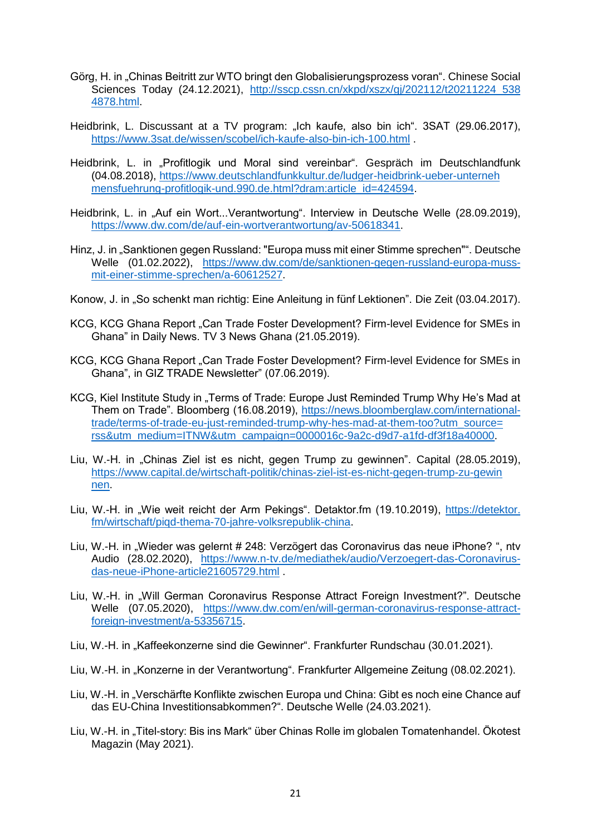- Görg, H. in "Chinas Beitritt zur WTO bringt den Globalisierungsprozess voran". Chinese Social Sciences Today (24.12.2021), http://sscp.cssn.cn/xkpd/xszx/qj/202112/t20211224\_538 [4878.html.](http://sscp.cssn.cn/xkpd/xszx/gj/202112/t20211224_538‌4878.html)
- Heidbrink, L. Discussant at a TV program: "Ich kaufe, also bin ich". 3SAT (29.06.2017), <https://www.3sat.de/wissen/scobel/ich-kaufe-also-bin-ich-100.html> .
- Heidbrink, L. in "Profitlogik und Moral sind vereinbar". Gespräch im Deutschlandfunk (04.08.2018), [https://www.deutschlandfunkkultur.de/ludger-heidbrink-ueber-unterneh](https://www.deutschlandfunkkultur.de/ludger-heidbrink-ueber-unterneh‌mensfuehrung-profitlogik-und.990.de.html?dram:article_id=424594) [mensfuehrung-profitlogik-und.990.de.html?dram:article\\_id=424594.](https://www.deutschlandfunkkultur.de/ludger-heidbrink-ueber-unterneh‌mensfuehrung-profitlogik-und.990.de.html?dram:article_id=424594)
- Heidbrink, L. in "Auf ein Wort...Verantwortung". Interview in Deutsche Welle (28.09.2019), [https://www.dw.com/de/auf-ein-wortverantwortung/av-50618341.](https://www.dw.com/de/auf-ein-wortverantwortung/av-50618341)
- Hinz, J. in "Sanktionen gegen Russland: "Europa muss mit einer Stimme sprechen"". Deutsche Welle (01.02.2022), [https://www.dw.com/de/sanktionen-gegen-russland-europa-muss](https://www.dw.com/de/sanktionen-gegen-russland-europa-muss-‌mit-einer-stimme-sprechen/a-60612527)[mit-einer-stimme-sprechen/a-60612527.](https://www.dw.com/de/sanktionen-gegen-russland-europa-muss-‌mit-einer-stimme-sprechen/a-60612527)
- Konow, J. in "So schenkt man richtig: Eine Anleitung in fünf Lektionen". Die Zeit (03.04.2017).
- KCG, KCG Ghana Report "Can Trade Foster Development? Firm-level Evidence for SMEs in Ghana" in Daily News. TV 3 News Ghana (21.05.2019).
- KCG, KCG Ghana Report "Can Trade Foster Development? Firm-level Evidence for SMEs in Ghana", in GIZ TRADE Newsletter" (07.06.2019).
- KCG, Kiel Institute Study in "Terms of Trade: Europe Just Reminded Trump Why He's Mad at Them on Trade". Bloomberg (16.08.2019), [https://news.bloomberglaw.com/international](https://news.bloomberglaw.com/inter‌national-trade/terms-of-trade-eu-just-reminded-trump-why-hes-mad-at-them-too?utm_source=‌rss&utm_medium=ITNW&utm_campaign=0000016c-9a2c-d9d7-a1fd-df3f18a40000)[trade/terms-of-trade-eu-just-reminded-trump-why-hes-mad-at-them-too?utm\\_source=](https://news.bloomberglaw.com/inter‌national-trade/terms-of-trade-eu-just-reminded-trump-why-hes-mad-at-them-too?utm_source=‌rss&utm_medium=ITNW&utm_campaign=0000016c-9a2c-d9d7-a1fd-df3f18a40000) [rss&utm\\_medium=ITNW&utm\\_campaign=0000016c-9a2c-d9d7-a1fd-df3f18a40000.](https://news.bloomberglaw.com/inter‌national-trade/terms-of-trade-eu-just-reminded-trump-why-hes-mad-at-them-too?utm_source=‌rss&utm_medium=ITNW&utm_campaign=0000016c-9a2c-d9d7-a1fd-df3f18a40000)
- Liu, W.-H. in "Chinas Ziel ist es nicht, gegen Trump zu gewinnen". Capital (28.05.2019), [https://www.capital.de/wirtschaft-politik/chinas-ziel-ist-es-nicht-gegen-trump-zu-gewin](https://www.capital.de/wirtschaft-politik/chinas-ziel-ist-es-nicht-gegen-trump-zu-gewin‌nen) [nen.](https://www.capital.de/wirtschaft-politik/chinas-ziel-ist-es-nicht-gegen-trump-zu-gewin‌nen)
- Liu, W.-H. in "Wie weit reicht der Arm Pekings". Detaktor.fm (19.10.2019), [https://detektor.](https://detektor.fm/wirtschaft/piqd-thema-70-jahre-volksrepublik-china) [fm/wirtschaft/piqd-thema-70-jahre-volksrepublik-china.](https://detektor.fm/wirtschaft/piqd-thema-70-jahre-volksrepublik-china)
- Liu, W.-H. in "Wieder was gelernt # 248: Verzögert das Coronavirus das neue iPhone?", ntv Audio (28.02.2020), [https://www.n-tv.de/mediathek/audio/Verzoegert-das-Coronavirus](https://www.n-tv.de/mediathek/audio/Verzoegert-das-Coronavirus-das-neue-iPhone-article21605729.html)[das-neue-iPhone-article21605729.html](https://www.n-tv.de/mediathek/audio/Verzoegert-das-Coronavirus-das-neue-iPhone-article21605729.html) .
- Liu, W.-H. in "Will German Coronavirus Response Attract Foreign Investment?". Deutsche Welle (07.05.2020), [https://www.dw.com/en/will-german-coronavirus-response-attract](https://www.dw.com/en/will-german-coronavirus-response-attract-foreign-investment/a-53356715)[foreign-investment/a-53356715.](https://www.dw.com/en/will-german-coronavirus-response-attract-foreign-investment/a-53356715)
- Liu, W.-H. in "Kaffeekonzerne sind die Gewinner". Frankfurter Rundschau (30.01.2021).
- Liu, W.-H. in "Konzerne in der Verantwortung". Frankfurter Allgemeine Zeitung (08.02.2021).
- Liu, W.-H. in "Verschärfte Konflikte zwischen Europa und China: Gibt es noch eine Chance auf das EU-China Investitionsabkommen?". Deutsche Welle (24.03.2021).
- Liu, W.-H. in "Titel-story: Bis ins Mark" über Chinas Rolle im globalen Tomatenhandel. Ökotest Magazin (May 2021).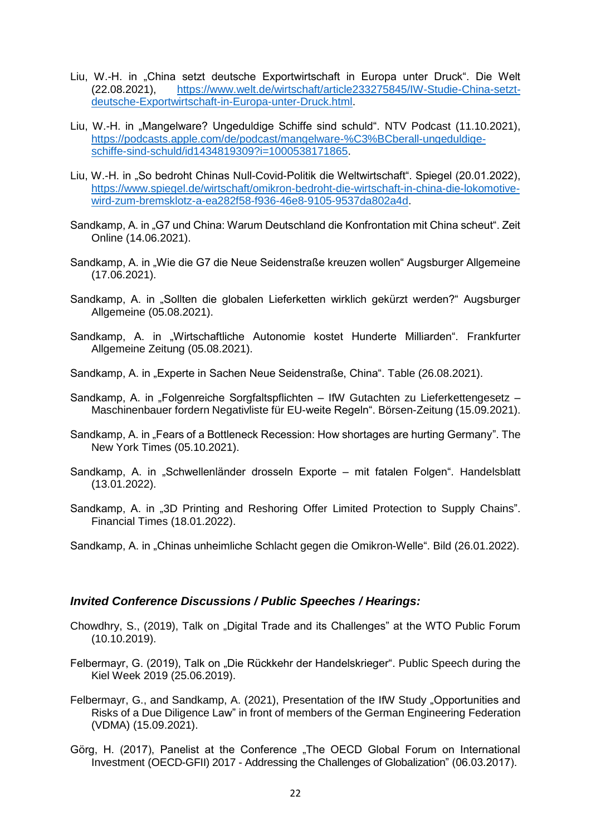- Liu, W.-H. in "China setzt deutsche Exportwirtschaft in Europa unter Druck". Die Welt (22.08.2021), [https://www.welt.de/wirtschaft/article233275845/IW-Studie-China-setzt](https://www.welt.de/wirtschaft/article233275845/IW-Studie-China-setzt-‌deutsche-Exportwirtschaft-in-Europa-unter-Druck.html)[deutsche-Exportwirtschaft-in-Europa-unter-Druck.html.](https://www.welt.de/wirtschaft/article233275845/IW-Studie-China-setzt-‌deutsche-Exportwirtschaft-in-Europa-unter-Druck.html)
- Liu, W.-H. in "Mangelware? Ungeduldige Schiffe sind schuld". NTV Podcast (11.10.2021), [https://podcasts.apple.com/de/podcast/mangelware-%C3%BCberall-ungeduldige](https://podcasts.apple.com/de/podcast/mangelware-%C3%BCberall-ungeduldige-‌schiffe-sind-schuld/id1434819309?i=1000538171865)[schiffe-sind-schuld/id1434819309?i=1000538171865.](https://podcasts.apple.com/de/podcast/mangelware-%C3%BCberall-ungeduldige-‌schiffe-sind-schuld/id1434819309?i=1000538171865)
- Liu, W.-H. in "So bedroht Chinas Null-Covid-Politik die Weltwirtschaft". Spiegel (20.01.2022), [https://www.spiegel.de/wirtschaft/omikron-bedroht-die-wirtschaft-in-china-die-lokomotive](https://www.spiegel.de/wirtschaft/omikron-bedroht-die-wirtschaft-in-china-die-lokomotive-wird-zum-bremsklotz-a-ea282f58-f936-46e8-9105-9537da802a4d)[wird-zum-bremsklotz-a-ea282f58-f936-46e8-9105-9537da802a4d.](https://www.spiegel.de/wirtschaft/omikron-bedroht-die-wirtschaft-in-china-die-lokomotive-wird-zum-bremsklotz-a-ea282f58-f936-46e8-9105-9537da802a4d)
- Sandkamp, A. in "G7 und China: Warum Deutschland die Konfrontation mit China scheut". Zeit Online (14.06.2021).
- Sandkamp, A. in "Wie die G7 die Neue Seidenstraße kreuzen wollen" Augsburger Allgemeine (17.06.2021).
- Sandkamp, A. in "Sollten die globalen Lieferketten wirklich gekürzt werden?" Augsburger Allgemeine (05.08.2021).
- Sandkamp, A. in "Wirtschaftliche Autonomie kostet Hunderte Milliarden". Frankfurter Allgemeine Zeitung (05.08.2021).
- Sandkamp, A. in "Experte in Sachen Neue Seidenstraße, China". Table (26.08.2021).
- Sandkamp, A. in "Folgenreiche Sorgfaltspflichten IfW Gutachten zu Lieferkettengesetz Maschinenbauer fordern Negativliste für EU-weite Regeln". Börsen-Zeitung (15.09.2021).
- Sandkamp, A. in "Fears of a Bottleneck Recession: How shortages are hurting Germany". The New York Times (05.10.2021).
- Sandkamp, A. in "Schwellenländer drosseln Exporte mit fatalen Folgen". Handelsblatt (13.01.2022).
- Sandkamp, A. in ..3D Printing and Reshoring Offer Limited Protection to Supply Chains". Financial Times (18.01.2022).

Sandkamp, A. in "Chinas unheimliche Schlacht gegen die Omikron-Welle". Bild (26.01.2022).

### *Invited Conference Discussions / Public Speeches / Hearings:*

- Chowdhry, S., (2019), Talk on "Digital Trade and its Challenges" at the WTO Public Forum (10.10.2019).
- Felbermayr, G. (2019), Talk on "Die Rückkehr der Handelskrieger". Public Speech during the Kiel Week 2019 (25.06.2019).
- Felbermayr, G., and Sandkamp, A. (2021), Presentation of the IfW Study "Opportunities and Risks of a Due Diligence Law" in front of members of the German Engineering Federation (VDMA) (15.09.2021).
- Görg, H. (2017), Panelist at the Conference "The OECD Global Forum on International Investment (OECD-GFII) 2017 - Addressing the Challenges of Globalization" (06.03.2017).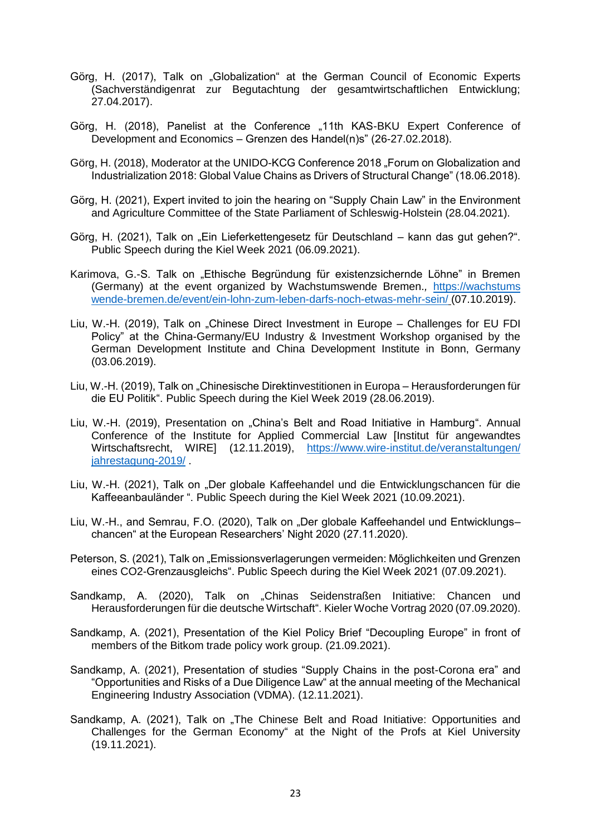- Görg, H. (2017), Talk on "Globalization" at the German Council of Economic Experts (Sachverständigenrat zur Begutachtung der gesamtwirtschaftlichen Entwicklung; 27.04.2017).
- Görg, H. (2018), Panelist at the Conference "11th KAS-BKU Expert Conference of Development and Economics – Grenzen des Handel(n)s" (26-27.02.2018).
- Görg, H. (2018), Moderator at the UNIDO-KCG Conference 2018 "Forum on Globalization and Industrialization 2018: Global Value Chains as Drivers of Structural Change" (18.06.2018).
- Görg, H. (2021), Expert invited to join the hearing on "Supply Chain Law" in the Environment and Agriculture Committee of the State Parliament of Schleswig-Holstein (28.04.2021).
- Görg, H. (2021), Talk on "Ein Lieferkettengesetz für Deutschland kann das gut gehen?". Public Speech during the Kiel Week 2021 (06.09.2021).
- Karimova, G.-S. Talk on "Ethische Begründung für existenzsichernde Löhne" in Bremen (Germany) at the event organized by Wachstumswende Bremen.*,* [https://wachstums](https://wachstumswende-bremen.de/event/ein-lohn-zum-leben-darfs-noch-etwas-mehr-sein/) [wende-bremen.de/event/ein-lohn-zum-leben-darfs-noch-etwas-mehr-sein/](https://wachstumswende-bremen.de/event/ein-lohn-zum-leben-darfs-noch-etwas-mehr-sein/) (07.10.2019).
- Liu, W.-H. (2019), Talk on "Chinese Direct Investment in Europe Challenges for EU FDI Policy" at the China-Germany/EU Industry & Investment Workshop organised by the German Development Institute and China Development Institute in Bonn, Germany (03.06.2019).
- Liu, W.-H. (2019), Talk on "Chinesische Direktinvestitionen in Europa Herausforderungen für die EU Politik". Public Speech during the Kiel Week 2019 (28.06.2019).
- Liu, W.-H. (2019), Presentation on "China's Belt and Road Initiative in Hamburg". Annual Conference of the Institute for Applied Commercial Law [Institut für angewandtes Wirtschaftsrecht, WIRE] (12.11.2019), [https://www.wire-institut.de/veranstaltungen/](https://www.wire-institut.de/veranstaltungen/jahrestagung-2019/) [jahrestagung-2019/](https://www.wire-institut.de/veranstaltungen/jahrestagung-2019/) .
- Liu, W.-H. (2021), Talk on "Der globale Kaffeehandel und die Entwicklungschancen für die Kaffeeanbauländer ". Public Speech during the Kiel Week 2021 (10.09.2021).
- Liu, W.-H., and Semrau, F.O. (2020), Talk on "Der globale Kaffeehandel und Entwicklungschancen" at the European Researchers' Night 2020 (27.11.2020).
- Peterson, S. (2021), Talk on "Emissionsverlagerungen vermeiden: Möglichkeiten und Grenzen eines CO2-Grenzausgleichs". Public Speech during the Kiel Week 2021 (07.09.2021).
- Sandkamp, A. (2020), Talk on "Chinas Seidenstraßen Initiative: Chancen und Herausforderungen für die deutsche Wirtschaft". Kieler Woche Vortrag 2020 (07.09.2020).
- Sandkamp, A. (2021), Presentation of the Kiel Policy Brief "Decoupling Europe" in front of members of the Bitkom trade policy work group. (21.09.2021).
- Sandkamp, A. (2021), Presentation of studies "Supply Chains in the post-Corona era" and "Opportunities and Risks of a Due Diligence Law" at the annual meeting of the Mechanical Engineering Industry Association (VDMA). (12.11.2021).
- Sandkamp, A. (2021), Talk on "The Chinese Belt and Road Initiative: Opportunities and Challenges for the German Economy" at the Night of the Profs at Kiel University (19.11.2021).